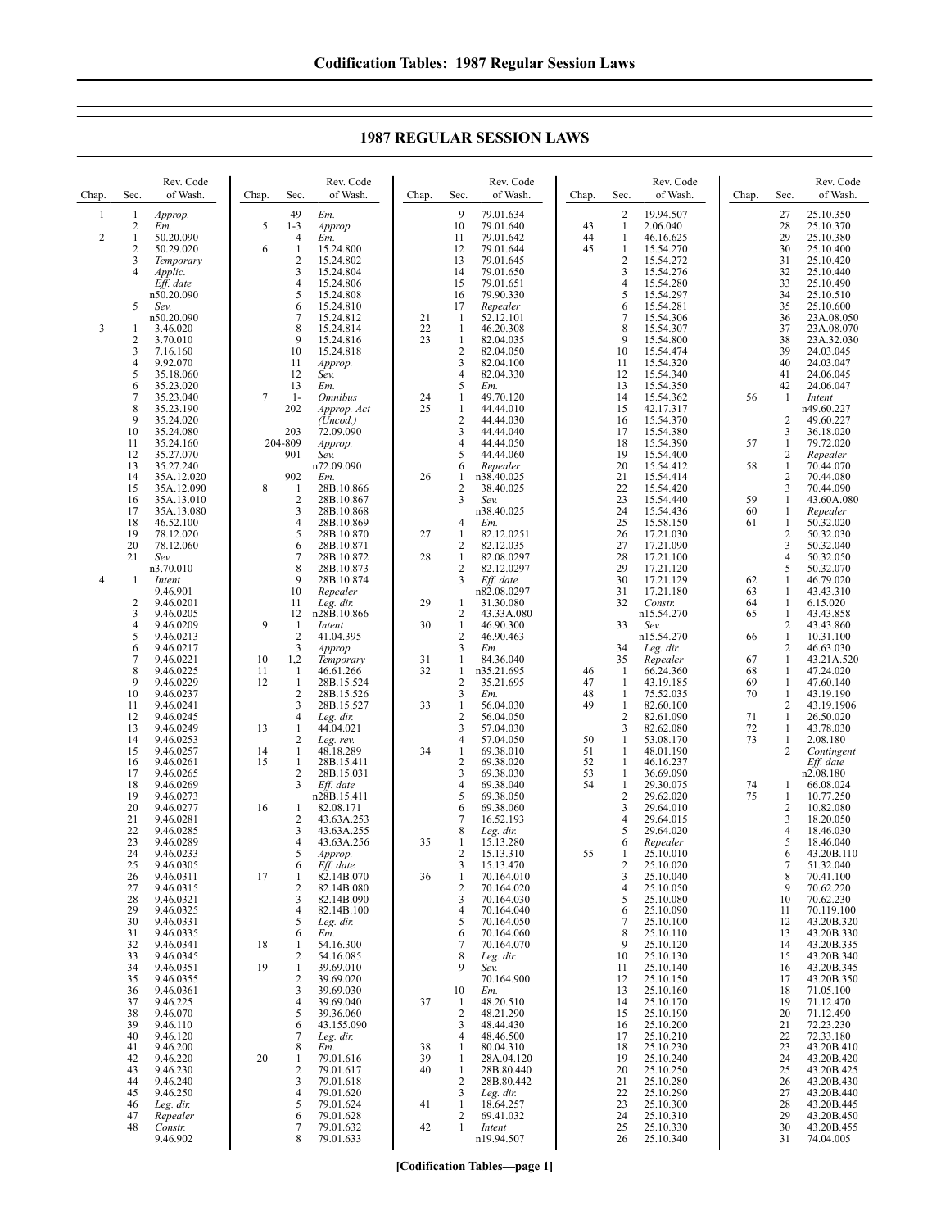Chap. Sec. Rev. Code of Wash. 1 1 *Approp.*  $\frac{2}{1}$  *Em.* 2  $\overline{1}$   $\overline{50.20.090}$ <br>2  $\overline{50.29.020}$ 2 50.29.020<br>3 Temporary 3 *Temporary* 4 *Applic. Eff. date* n50.20.090 5 *Sev.* n50.20.090 3 1 3.46.020 2 3.70.010 3 7.16.160 4 9.92.070<br>5 35.18.06 5 35.18.060<br>6 35.23.020<br>7 35.23.040 6 35.23.020 7 35.23.040<br>8 35.23.190<br>9 35.24.020 35.23.190 9 35.24.020<br>10 35.24.080 10 35.24.080<br>11 35.24.160 11 35.24.160<br>12 35.27.070 12 35.27.070<br>13 35.27.240 13 35.27.240<br>14 35A 12.02 14 35A.12.020<br>15 35A.12.090 15 35A.12.090<br>16 35A.13.010 16 35A.13.010<br>17 35A.13.080 17 35A.13.080 18 46.52.100 19 78.12.020 20 78.12.060<br>21 Sev. 21 *Sev.* n3.70.010 4 1 *Intent* 9.46.901 2 9.46.0201<br>3 9.46.0205  $\begin{array}{r} 3 & 9.46.0205 \\ 4 & 9.46.0209 \\ 5 & 9.46.0213 \end{array}$ 9.46.0209  $\begin{array}{r} 5 & 9.46.0213 \\ 6 & 9.46.0217 \\ 7 & 9.46.0221 \end{array}$ 9.46.0217 7 9.46.0221 8 9.46.0225<br>9 9.46.0229 9 9.46.0229<br>10 9.46.0237 10 9.46.0237 11 9.46.0241 12 9.46.0245<br>13 9.46.0249 13 9.46.0249<br>14 9.46.0253<br>15 9.46.0257 14 9.46.0253 15 9.46.0257 16 9.46.0261<br>17 9.46.0265 17 9.46.0265<br>18 9.46.0269 9.46.0269 19 9.46.0273<br>20 9.46.0277 20 9.46.0277<br>21 9.46.0281 21 9.46.0281<br>22 9.46.0285 22 9.46.0285<br>23 9.46.0289<br>24 9.46.0233<br>25 9.46.0305 9.46.0289 9.46.0233 25 9.46.0305<br>26 9.46.0311 26 9.46.0311<br>27 9.46.0315<br>28 9.46.0321 9.46.0315 28 9.46.0321<br>29 9.46.0325 29 9.46.0325<br>30 9.46.0331 30 9.46.0331 31 9.46.0335<br>32 9.46.0341<br>33 9.46.0345 32 9.46.0341 9.46.0345 34 9.46.0351 35 9.46.0355 36 9.46.0361<br>37 9.46.225 37 9.46.225 38 9.46.070<br>39 9.46.110 39 9.46.110<br>40 9.46.120 40 9.46.120<br>41 9.46.200 41 9.46.200 42 9.46.220<br>43 9.46.230 43 9.46.230<br>44 9.46.240<br>45 9.46.250 9.46.240 45 9.46.250<br>46 Leg. dir. 46 *Leg. dir.* Chap. Sec. Rev. Code of Wash. 49 *Em.* 5 1-3 *Approp.* 4 *Em.*  $\begin{array}{ccc} 6 & 1 & 15.24.800 \\ 2 & 15.24.802 \end{array}$ 2 15.24.802 3 15.24.804 4 15.24.806  $5$  15.24.808<br>6 15.24.810  $\frac{6}{7}$  15.24.810 7 15.24.812<br>8 15.24.814 8 15.24.814<br>9 15.24.816 9 15.24.816<br>10 15.24.818 10 15.24.818<br>11 *Approp.* 11 *Approp.* 12 *Sev.* 13 *Em.* 7 1- *Omnibus* 202 *Approp. Act*  $(\tilde{U} \text{h} \text{c} \text{d})$ 203 72.09.090 204-809 *Approp.* 901 *Sev.* n72.09.090 902 *Em.* 8 1 28B.10.866<br>2 28B.10.867 2 28B.10.867<br>3 28B.10.868 3 28B.10.868<br>4 28B.10.869 4 28B.10.869<br>5 28B.10.870  $\begin{array}{r} 5 \\ 6 \\ 7 \\ \end{array} \quad \begin{array}{r} 28\text{B}.10.870 \\ 28\text{B}.10.871 \\ 28\text{B}.10.872 \end{array}$ 28B.10.871 7 28B.10.872<br>8 28B.10.873<br>9 28B.10.874 28B.10.873 9 28B.10.874<br>10 *Repealer* 10 *Repealer* 11 *Leg. dir.* 12 n28B.10.866 9 1 *Intent* 2 41.04.395 3 *Approp.* 10 1,2 *Temporary* 11 1 46.61.266<br>12 1 28B.15.52 12 1 28B.15.524<br>2 28B.15.526 3 28B.15.527<br>4 Leg. dir. Leg. dir. 13 1 44.04.021<br>2 Leg. rev.<br>14 1 48.18.289 2 *Leg. rev.* 14 1 48.18.289 15 1 28B.15.411<br>2 28B.15.031 2 28B.15.031<br>3 *Eff. date* Eff. date n28B.15.411 16 1 82.08.171 2 43.63A.253<br>3 43.63A.255 3 43.63A.255<br>4 43.63A.256 4 43.63A.256 5 *Approp.* 6 *Eff. date* 17 1 82.14B.070<br>2 82.14B.080 2 82.14B.080 3 82.14B.090 4 82.14B.100<br>5 Leg. dir. 5 *Leg. dir.*  $6 \t\t\t Em.$ <br>1 54 1 18 1 54.16.300 2 54.16.085 19 1 39.69.010<br>2 39.69.020  $\begin{array}{r} 2 & 39.69.020 \\ 3 & 39.69.030 \end{array}$ 3 39.69.030<br>4 39.69.040  $\frac{4}{5}$  39.69.040 39.36.060  $6 \frac{43.155.090}{43.155.090}$ 7 *Leg. dir.*  $\frac{8}{1}$   $\frac{Em}{79}$ 20 1 79.01.616<br>2 79.01.617 2 79.01.617<br>3 79.01.618  $\frac{3}{4}$  79.01.618  $\frac{4}{5}$  79.01.620 5 79.01.624 Chap. Sec. Rev. Code of Wash. 9 79.01.634<br>10 79.01.640 10 79.01.640<br>11 79.01.642 11 79.01.642 12 79.01.644<br>13 79.01.645 79.01.645 14 79.01.650<br>15 79.01.651 15 79.01.651<br>16 79.90.330 16 79.90.330<br>17 *Repealer* 17 *Repealer* 21 1 52.12.101<br>22 1 46.20.308 22 1 46.20.308<br>23 1 82.04.035 1 82.04.035<br>2 82.04.050<br>3 82.04.100 2 82.04.050 3 82.04.100<br>4 82.04.330  $\frac{4}{5}$  82.04.330<br>5 *Em.* 5 *Em.* 24 1 49.70.120<br>25 1 44.44.010  $\begin{array}{cc}\n 1 & 44.44.010 \\
2 & 44.44.030\n \end{array}$ 2 44.44.030<br>3 44.44.040 3 44.44.040<br>4 44.44.050 4 44.44.050 5 44.44.060<br>6 *Repealer* 6 *Repealer* 26 1 n38.40.025  $rac{2}{3}$   $rac{38.40.025}{5}$ 3 *Sev.* n38.40.025 4 *Em.* 27 1 82.12.0251 2 82.12.035<br>1 82.08.029 28 1 82.08.0297 2 82.12.0297<br>3 Eff date 3 *Eff. date* n82.08.0297 29 1 31.30.080<br>2 43.33A.08 2 43.33A.080<br>1 46.90.300 30 1 46.90.300<br>2 46.90.463  $\frac{2}{3}$  46.90.463  $\frac{3}{1}$  *Em.* 31 1 84.36.040<br>32 1 n35.21.695 n35.21.695 2  $35.21.695$ <br>3  $Em.$  $\frac{3}{1}$  *Em.* 33 1 56.04.030<br>2 56.04.050  $\begin{array}{r} 2 & 56.04.050 \\ 3 & 57.04.030 \end{array}$  $\begin{array}{ll}3 & 57.04.030\\ 4 & 57.04.050\\ 1 & 69.38.010\end{array}$ 57.04.050 34 1 69.38.010<br>2 69.38.020 2 69.38.020<br>3 69.38.030 3 69.38.030 69.38.040 5 69.38.050<br>6 69.38.060 6 69.38.060 7 16.52.193<br>8 *Leg. dir.* 8 *Leg. dir.* 35 1 15.13.280 2 15.13.310<br>3 15.13.470  $\frac{15.13.470}{70.164.01}$ 36 1 70.164.010 2 70.164.020 3 70.164.030 4 70.164.040<br>5 70.164.050  $5$  70.164.050<br>6 70.164.060  $\frac{6}{7}$  70.164.060 7 70.164.070 8 *Leg. dir.* 9 *Sev.* 70.164.900 10 *Em.* 37 1 48.20.510 2 48.21.290<br>3 48.44.430 3 48.44.430<br>4 48.46.500 4 48.46.500 38 1 80.04.310<br>39 1 28A 04.12 39 1 28A.04.120 1 28B.80.440 2  $28B.80.442$ <br>3  $Iee$  dir 3 *Leg. dir.*  $\frac{1}{2}$   $\frac{18.64.257}{69.41.032}$ Chap. Sec. Rev. Code of Wash. 2 19.94.507 43 1 2.06.040  $\begin{array}{cccc} 44 & 1 & 46.16.625 \\ 45 & 1 & 15.54.270 \end{array}$  $\frac{1}{2}$  15.54.270 2 15.54.272<br>3 15.54.276 3 15.54.276<br>4 15.54.280<br>5 15.54.297 15.54.280 5 15.54.297  $\frac{6}{7}$  15.54.281 7 15.54.306<br>8 15.54.307 8 15.54.307<br>9 15.54.800 9 15.54.800<br>10 15.54.474 10 15.54.474<br>11 15.54.320 11 15.54.320<br>12 15.54.340 12 15.54.340<br>13 15.54.350 13 15.54.350<br>14 15.54.362<br>15 42.17.317 15.54.362 15 42.17.317<br>16 15.54.370<br>17 15.54.380 16 15.54.370 17 15.54.380<br>18 15.54.390 18 15.54.390<br>19 15.54.400  $\begin{bmatrix} 19 & 15.54.400 \\ 20 & 15.54.412 \end{bmatrix}$ 20 15.54.412<br>21 15.54.414 21 15.54.414<br>22 15.54.420 22 15.54.420<br>23 15.54.440 23 15.54.440<br>24 15.54.436<br>25 15.58.150 15.54.436 25 15.58.150<br>26 17.21.030 26 17.21.030<br>27 17.21.090 27 17.21.090<br>28 17.21.100 28 17.21.100<br>29 17.21.120<br>30 17.21.129 17.21.120 30 17.21.129<br>31 17.21.180 31 17.21.180<br>32 *Constr.* Constr. n15.54.270 33 *Sev.* n15.54.270 34 *Leg. dir.* 35 *Repealer* 46 1 66.24.360<br>47 1 43.19.185<br>48 1 75.52.035 47 1 43.19.185 48 1 75.52.035 49 1 82.60.100<br>2 82.61.090  $\frac{2}{3}$  82.61.090 3 82.62.080 50 1 53.08.170<br>51 1 48.01.190 51 1 48.01.190<br>52 1 46.16.237 52 1 46.16.237 53 1 36.69.090 29.30.075 2 29.62.020<br>3 29.64.010 3 29.64.010<br>4 29.64.015  $\frac{4}{5}$  29.64.015 5 29.64.020 6 *Repealer* 55 1 25.10.010<br>2 25.10.020  $\frac{2}{3}$   $\frac{25.10.020}{25.10.040}$  $\begin{array}{r} 3 \\ 4 \end{array} \quad \begin{array}{r} 25.10.040 \\ 25.10.050 \end{array}$ 25.10.050  $\begin{array}{r} 5 & 25.10.080 \\ 6 & 25.10.090 \\ 7 & 25.10.100 \end{array}$ 25.10.090  $\begin{bmatrix} 7 & 25.10.100 \\ 8 & 25.10.110 \end{bmatrix}$  $\begin{array}{@{}c@{\hspace{0.1em}}c@{\hspace{0.1em}}c@{\hspace{0.1em}}c@{\hspace{0.1em}}c@{\hspace{0.1em}}c@{\hspace{0.1em}}c@{\hspace{0.1em}}c@{\hspace{0.1em}}c@{\hspace{0.1em}}c@{\hspace{0.1em}}c@{\hspace{0.1em}}c@{\hspace{0.1em}}c@{\hspace{0.1em}}c@{\hspace{0.1em}}c@{\hspace{0.1em}}c@{\hspace{0.1em}}c@{\hspace{0.1em}}c@{\hspace{0.1em}}c@{\hspace{0.1em}}c@{\hs$  $9$  25.10.120<br>10 25.10.130 25.10.130 11 25.10.140<br>12 25.10.150 12 25.10.150<br>13 25.10.160 13 25.10.160<br>14 25.10.170<br>15 25.10.190 25.10.170 15 25.10.190<br>16 25.10.200<br>17 25.10.210 25.10.200 17 25.10.210<br>18 25.10.230 18 25.10.230<br>19 25.10.240 19 25.10.240 20 25.10.250<br>21 25.10.280<br>22 25.10.290 25.10.280 22 25.10.290<br>23 25.10.300 23 25.10.300<br>24 25.10.310 Chap. Sec. Rev. Code of Wash. 27 25.10.350<br>28 25.10.370 28 25.10.370<br>29 25.10.380 29 25.10.380 30 25.10.400  $\frac{31}{32}$   $\frac{25.10.420}{25.10.440}$ 32 25.10.440<br>33 25.10.490 33 25.10.490<br>34 25.10.510 34 25.10.510<br>35 25.10.600 35 25.10.600<br>36 23A.08.05 36 23A.08.050<br>37 23A.08.070 37 23A.08.070<br>38 23A.32.030 38 23A.32.030 39 24.03.045<br>40 24.03.047 40 24.03.047<br>41 24.06.045 41 24.06.045<br>42 24.06.047  $\frac{42}{1}$  24.06.047 56 1 *Intent* n49.60.227  $\frac{2}{3}$   $\frac{49.60.227}{36.18.020}$ 3 36.18.020 57 1 79.72.020 2 *Repealer* 58 1 70.44.070 2 70.44.080<br>3 70.44.090 70.44.090 59 1 43.60A.080 60 1 *Repealer* 61 1 50.32.020 2 50.32.030<br>3 50.32.040 3 50.32.040<br>4 50.32.050  $\begin{array}{r} 4 & 50.32.050 \\ 5 & 50.32.070 \end{array}$  $5$   $50.32.070$ <br> $1$   $46.79.020$ 62 1 46.79.020  $\begin{array}{r}\n 63 \\
64 \\
1 \\
6.15.020\n \end{array}$ 64 1 6.15.020 43.43.858 2 43.43.860 66 1 10.31.100  $2\quad 46.63.030$ 67 1 43.21A.520 68 1 47.24.020<br>69 1 47.60.140<br>70 1 43.19.190 69 1 47.60.140 70 1 43.19.190 2 43.19.1906<br>1 26.50.020 71 1 26.50.020 72 1 43.78.030<br>73 1 2.08.180  $\frac{1}{2}$  2.08.180 2 *Contingent Eff. date* n2.08.180 74 1 66.08.024 75 1 10.77.250 2 10.82.080  $\overline{3}$  18.20.050<br>4 18.46.030 4 18.46.030 18.46.040 6 43.20B.110<br>7 51.32.040  $\begin{bmatrix} 7 & 51.32.040 \\ 8 & 70.41.100 \end{bmatrix}$  $\begin{array}{cc}\n 8 & 70.41.100 \\
9 & 70.62.220\n \end{array}$ 9 70.62.220 10 70.62.230 11 70.119.100<br>12 43.20B.320 12 43.20B.320<br>13 43.20B.330 13 43.20B.330<br>14 43.20B.335 43.20B.335 15 43.20B.340 16 43.20B.345<br>17 43.20B.350 17 43.20B.350<br>18 71.05.100 18 71.05.100<br>19 71.12.470 19 71.12.470<br>20 71.12.490 20 71.12.490<br>21 72.23.230  $\begin{bmatrix} 21 & 72.23.230 \\ 22 & 72.33.180 \end{bmatrix}$ 22 72.33.180<br>23 43.20B.41<br>24 43.20B.42 23 43.20B.410 24 43.20B.420<br>25 43.20B.425 25 43.20B.425<br>26 43.20B.430<br>27 43.20B.440 26 43.20B.430 27 43.20B.440<br>28 43.20B.445 28 43.20B.445<br>29 43.20B.450

## **1987 REGULAR SESSION LAWS**

**[Codification Tables—page 1]**

42 1 *Intent*

69.41.032

24 25.10.310<br>25 25.10.330 25 25.10.330<br>26 25.10.340 26 25.10.340 29 43.20B.450<br>30 43.20B.455 30 43.20B.455<br>31 74.04.005 74.04.005

n19.94.507

79.01.628 7 79.01.632<br>8 79.01.633 8 79.01.633

47 *Repealer* Constr. 9.46.902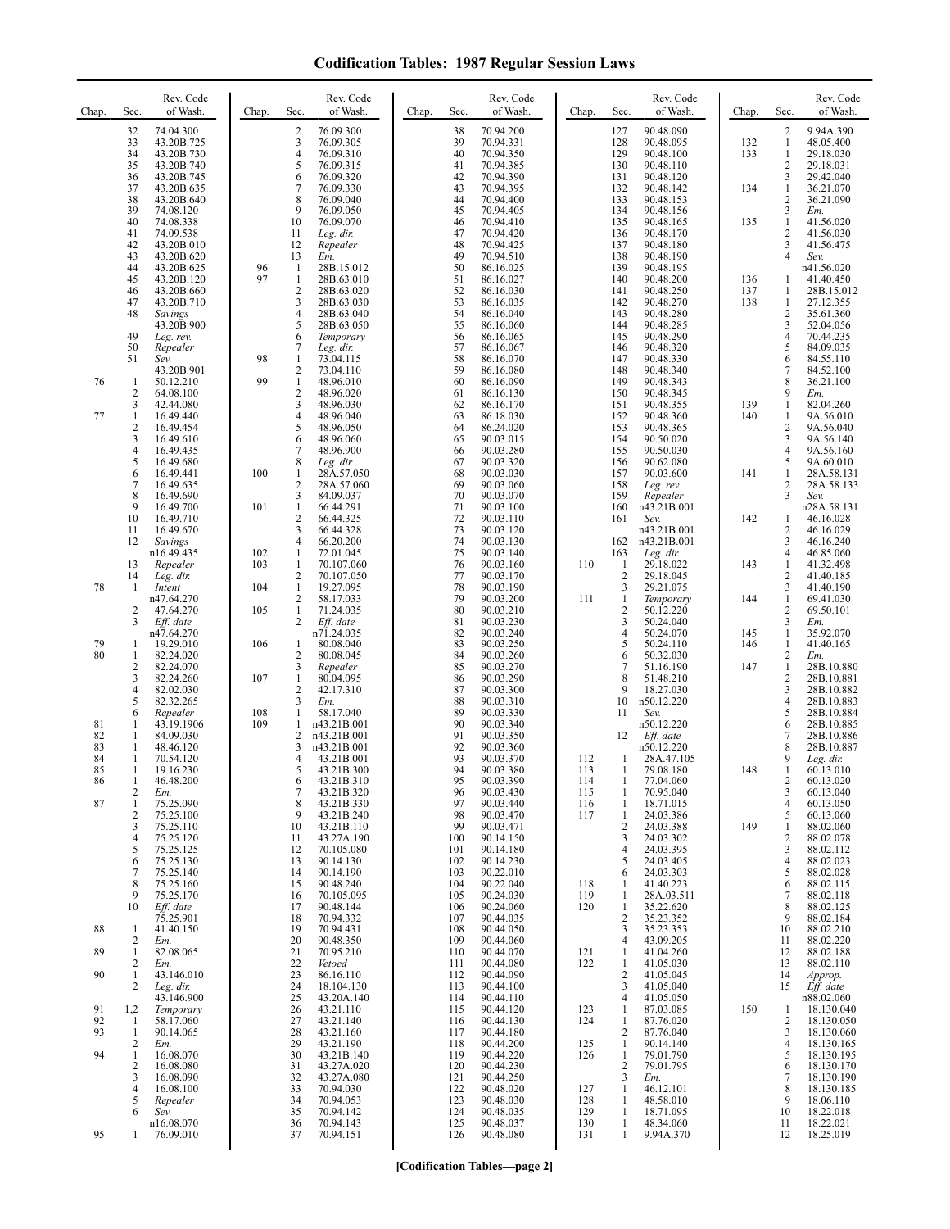| Chap.                      | Sec.                                                       | Rev. Code<br>of Wash.                                                                   | Chap.             | Sec.                                                                           | Rev. Code<br>of Wash.                                                                      | Chap. | Sec.                                          | Rev. Code<br>of Wash.                                                                   | Chap.                           | Sec.                                                   | Rev. Code<br>of Wash.                                                                    | Chap.             | Sec.                                               | Rev. Code<br>of Wash.                                                                   |
|----------------------------|------------------------------------------------------------|-----------------------------------------------------------------------------------------|-------------------|--------------------------------------------------------------------------------|--------------------------------------------------------------------------------------------|-------|-----------------------------------------------|-----------------------------------------------------------------------------------------|---------------------------------|--------------------------------------------------------|------------------------------------------------------------------------------------------|-------------------|----------------------------------------------------|-----------------------------------------------------------------------------------------|
|                            | 32<br>33<br>34<br>35                                       | 74.04.300<br>43.20B.725<br>43.20B.730<br>43.20B.740                                     |                   | 2<br>3<br>4<br>5                                                               | 76.09.300<br>76.09.305<br>76.09.310<br>76.09.315                                           |       | 38<br>39<br>40<br>41                          | 70.94.200<br>70.94.331<br>70.94.350<br>70.94.385                                        |                                 | 127<br>128<br>129<br>130                               | 90.48.090<br>90.48.095<br>90.48.100<br>90.48.110                                         | 132<br>133        | 2<br>$\mathbf{1}$<br>$\mathbf{1}$<br>2             | 9.94A.390<br>48.05.400<br>29.18.030<br>29.18.031                                        |
|                            | 36<br>37<br>38<br>39<br>40                                 | 43.20B.745<br>43.20B.635<br>43.20B.640<br>74.08.120<br>74.08.338                        |                   | 6<br>7<br>8<br>9<br>10                                                         | 76.09.320<br>76.09.330<br>76.09.040<br>76.09.050<br>76.09.070                              |       | 42<br>43<br>44<br>45<br>46                    | 70.94.390<br>70.94.395<br>70.94.400<br>70.94.405<br>70.94.410                           |                                 | 131<br>132<br>133<br>134<br>135                        | 90.48.120<br>90.48.142<br>90.48.153<br>90.48.156<br>90.48.165                            | 134<br>135        | 3<br>$\mathbf{1}$<br>2<br>3<br>$\mathbf{1}$        | 29.42.040<br>36.21.070<br>36.21.090<br>Em.<br>41.56.020                                 |
|                            | 41<br>42<br>43<br>44                                       | 74.09.538<br>43.20B.010<br>43.20B.620<br>43.20B.625                                     | 96                | 11<br>12<br>13<br>1                                                            | Leg. dir.<br>Repealer<br>Em.<br>28B.15.012                                                 |       | 47<br>48<br>49<br>50                          | 70.94.420<br>70.94.425<br>70.94.510<br>86.16.025                                        |                                 | 136<br>137<br>138<br>139                               | 90.48.170<br>90.48.180<br>90.48.190<br>90.48.195                                         |                   | 2<br>3<br>4                                        | 41.56.030<br>41.56.475<br>Sev.<br>n41.56.020                                            |
|                            | 45<br>46<br>47<br>48                                       | 43.20B.120<br>43.20B.660<br>43.20B.710<br>Savings<br>43.20B.900                         | 97                | $\mathbf{1}$<br>2<br>3<br>4<br>5                                               | 28B.63.010<br>28B.63.020<br>28B.63.030<br>28B.63.040<br>28B.63.050                         |       | 51<br>52<br>53<br>54<br>55                    | 86.16.027<br>86.16.030<br>86.16.035<br>86.16.040<br>86.16.060                           |                                 | 140<br>141<br>142<br>143<br>144                        | 90.48.200<br>90.48.250<br>90.48.270<br>90.48.280<br>90.48.285                            | 136<br>137<br>138 | 1<br>1<br>$\mathbf{1}$<br>2<br>3                   | 41.40.450<br>28B.15.012<br>27.12.355<br>35.61.360<br>52.04.056                          |
|                            | 49<br>50<br>51                                             | Leg. rev.<br>Repealer<br>Sev.<br>43.20B.901                                             | 98                | 6<br>7<br>1<br>$\sqrt{2}$                                                      | Temporary<br>Leg. dir.<br>73.04.115<br>73.04.110                                           |       | 56<br>57<br>58<br>59                          | 86.16.065<br>86.16.067<br>86.16.070<br>86.16.080                                        |                                 | 145<br>146<br>147<br>148                               | 90.48.290<br>90.48.320<br>90.48.330<br>90.48.340                                         |                   | 4<br>5<br>6<br>7                                   | 70.44.235<br>84.09.035<br>84.55.110<br>84.52.100                                        |
| 76<br>77                   | 1<br>$\overline{c}$<br>3<br>$\mathbf{1}$<br>$\overline{c}$ | 50.12.210<br>64.08.100<br>42.44.080<br>16.49.440<br>16.49.454                           | 99                | $\mathbf{1}$<br>2<br>3<br>4<br>5                                               | 48.96.010<br>48.96.020<br>48.96.030<br>48.96.040<br>48.96.050                              |       | 60<br>61<br>62<br>63<br>64                    | 86.16.090<br>86.16.130<br>86.16.170<br>86.18.030<br>86.24.020                           |                                 | 149<br>150<br>151<br>152<br>153                        | 90.48.343<br>90.48.345<br>90.48.355<br>90.48.360<br>90.48.365                            | 139<br>140        | 8<br>9<br>$\mathbf{1}$<br>$\mathbf{1}$<br>2        | 36.21.100<br>Em.<br>82.04.260<br>9A.56.010<br>9A.56.040                                 |
|                            | 3<br>$\overline{4}$<br>5<br>6<br>$\overline{7}$            | 16.49.610<br>16.49.435<br>16.49.680<br>16.49.441<br>16.49.635                           | 100               | 6<br>7<br>8<br>$\mathbf{1}$<br>$\mathfrak{2}$                                  | 48.96.060<br>48.96.900<br>Leg. dir.<br>28A.57.050<br>28A.57.060                            |       | 65<br>66<br>67<br>68<br>69                    | 90.03.015<br>90.03.280<br>90.03.320<br>90.03.030<br>90.03.060                           |                                 | 154<br>155<br>156<br>157<br>158                        | 90.50.020<br>90.50.030<br>90.62.080<br>90.03.600<br>Leg. rev.                            | 141               | 3<br>4<br>5<br>$\mathbf{1}$<br>2                   | 9A.56.140<br>9A.56.160<br>9A.60.010<br>28A.58.131<br>28A.58.133                         |
|                            | 8<br>9<br>10<br>11<br>12                                   | 16.49.690<br>16.49.700<br>16.49.710<br>16.49.670<br>Savings                             | 101               | 3<br>$\mathbf{1}$<br>2<br>3<br>4                                               | 84.09.037<br>66.44.291<br>66.44.325<br>66.44.328<br>66.20.200                              |       | 70<br>71<br>72<br>73<br>74                    | 90.03.070<br>90.03.100<br>90.03.110<br>90.03.120<br>90.03.130                           |                                 | 159<br>160<br>161<br>162                               | Repealer<br>n43.21B.001<br>Sev.<br>n43.21B.001<br>n43.21B.001                            | 142               | 3<br>1<br>2<br>3                                   | Sev.<br>n28A.58.131<br>46.16.028<br>46.16.029<br>46.16.240                              |
| 78                         | 13<br>14<br>1                                              | n16.49.435<br>Repealer<br>Leg. dir.<br>Intent<br>n47.64.270                             | 102<br>103<br>104 | $\mathbf{1}$<br>$\mathbf{1}$<br>$\mathbf{2}$<br>$\mathbf{1}$<br>$\overline{2}$ | 72.01.045<br>70.107.060<br>70.107.050<br>19.27.095<br>58.17.033                            |       | 75<br>76<br>77<br>78<br>79                    | 90.03.140<br>90.03.160<br>90.03.170<br>90.03.190<br>90.03.200                           | 110<br>111                      | 163<br>$\mathbf{1}$<br>$\sqrt{2}$<br>3<br>$\mathbf{1}$ | Leg. dir.<br>29.18.022<br>29.18.045<br>29.21.075<br>Temporary                            | 143<br>144        | 4<br>1<br>2<br>3<br>$\mathbf{1}$                   | 46.85.060<br>41.32.498<br>41.40.185<br>41.40.190<br>69.41.030                           |
| 79<br>80                   | 2<br>3<br>1                                                | 47.64.270<br>Eff. date<br>n47.64.270<br>19.29.010                                       | 105<br>106        | $\mathbf{1}$<br>2<br>1                                                         | 71.24.035<br>Eff. date<br>n71.24.035<br>80.08.040                                          |       | 80<br>81<br>82<br>83                          | 90.03.210<br>90.03.230<br>90.03.240<br>90.03.250                                        |                                 | $\overline{2}$<br>3<br>$\overline{4}$<br>5             | 50.12.220<br>50.24.040<br>50.24.070<br>50.24.110                                         | 145<br>146        | 2<br>3<br>$\mathbf{1}$<br>1                        | 69.50.101<br>Em.<br>35.92.070<br>41.40.165                                              |
|                            | 1<br>$\overline{c}$<br>3<br>$\overline{4}$<br>5<br>6       | 82.24.020<br>82.24.070<br>82.24.260<br>82.02.030<br>82.32.265<br>Repealer               | 107<br>108        | 2<br>3<br>$\mathbf{1}$<br>$\overline{c}$<br>3<br>$\mathbf{1}$                  | 80.08.045<br>Repealer<br>80.04.095<br>42.17.310<br>Em.<br>58.17.040                        |       | 84<br>85<br>86<br>87<br>88<br>89              | 90.03.260<br>90.03.270<br>90.03.290<br>90.03.300<br>90.03.310<br>90.03.330              |                                 | 6<br>7<br>8<br>9<br>10<br>11                           | 50.32.030<br>51.16.190<br>51.48.210<br>18.27.030<br>n50.12.220<br>Sev.                   | 147               | 2<br>$\mathbf{1}$<br>$\overline{c}$<br>3<br>4<br>5 | Em.<br>28B.10.880<br>28B.10.881<br>28B.10.882<br>28B.10.883<br>28B.10.884               |
| 81<br>82<br>83<br>84<br>85 | 1<br>1<br>1<br>$\mathbf{1}$<br>1                           | 43.19.1906<br>84.09.030<br>48.46.120<br>70.54.120<br>19.16.230                          | 109               | 1<br>2<br>3<br>4<br>5                                                          | n43.21B.001<br>n43.21B.001<br>n43.21B.001<br>43.21B.001<br>43.21B.300                      |       | 90<br>91<br>92<br>93<br>94                    | 90.03.340<br>90.03.350<br>90.03.360<br>90.03.370<br>90.03.380                           | 112<br>113                      | 12<br>1<br>1                                           | n50.12.220<br>Eff. date<br>n50.12.220<br>28A.47.105<br>79.08.180                         | 148               | 6<br>7<br>8<br>9<br>1                              | 28B.10.885<br>28B.10.886<br>28B.10.887<br>Leg. dir.<br>60.13.010                        |
| 86<br>87                   | 2<br>$\mathbf{1}$<br>$\overline{c}$<br>3                   | 46.48.200<br>Em.<br>75.25.090<br>75.25.100<br>75.25.110                                 |                   | 6<br>7<br>8<br>9<br>10                                                         | 43.21B.310<br>43.21B.320<br>43.21B.330<br>43.21B.240<br>43.21B.110                         |       | 95<br>96<br>97<br>98<br>99                    | 90.03.390<br>90.03.430<br>90.03.440<br>90.03.470<br>90.03.471                           | 114<br>115<br>116<br>117        | 1<br>1<br>1<br>$\overline{c}$                          | 77.04.060<br>70.95.040<br>18.71.015<br>24.03.386<br>24.03.388                            | 149               | 2<br>3<br>4<br>5<br>1                              | 60.13.020<br>60.13.040<br>60.13.050<br>60.13.060<br>88.02.060                           |
|                            | $\overline{4}$<br>5<br>6<br>7<br>8<br>9<br>10              | 75.25.120<br>75.25.125<br>75.25.130<br>75.25.140<br>75.25.160<br>75.25.170<br>Eff. date |                   | 11<br>12<br>13<br>14<br>15<br>16<br>17                                         | 43.27A.190<br>70.105.080<br>90.14.130<br>90.14.190<br>90.48.240<br>70.105.095<br>90.48.144 |       | 100<br>101<br>102<br>103<br>104<br>105<br>106 | 90.14.150<br>90.14.180<br>90.14.230<br>90.22.010<br>90.22.040<br>90.24.030<br>90.24.060 | 118<br>119<br>120               | 3<br>$\overline{4}$<br>5<br>6<br>1<br>1<br>1           | 24.03.302<br>24.03.395<br>24.03.405<br>24.03.303<br>41.40.223<br>28A.03.511<br>35.22.620 |                   | 2<br>3<br>4<br>5<br>6<br>7<br>8                    | 88.02.078<br>88.02.112<br>88.02.023<br>88.02.028<br>88.02.115<br>88.02.118<br>88.02.125 |
| 88<br>89                   | 1<br>2<br>1<br>2                                           | 75.25.901<br>41.40.150<br>Em.<br>82.08.065<br>Em.                                       |                   | 18<br>19<br>20<br>21<br>22                                                     | 70.94.332<br>70.94.431<br>90.48.350<br>70.95.210<br>Vetoed                                 |       | 107<br>108<br>109<br>110<br>111               | 90.44.035<br>90.44.050<br>90.44.060<br>90.44.070<br>90.44.080                           | 121<br>122                      | $\overline{2}$<br>3<br>$\overline{4}$<br>1<br>1        | 35.23.352<br>35.23.353<br>43.09.205<br>41.04.260<br>41.05.030                            |                   | 9<br>10<br>11<br>12<br>13                          | 88.02.184<br>88.02.210<br>88.02.220<br>88.02.188<br>88.02.110                           |
| 90<br>91<br>92             | 1<br>2<br>1,2<br>-1                                        | 43.146.010<br>Leg. dir.<br>43.146.900<br>Temporary<br>58.17.060                         |                   | 23<br>24<br>25<br>26<br>27                                                     | 86.16.110<br>18.104.130<br>43.20A.140<br>43.21.110<br>43.21.140                            |       | 112<br>113<br>114<br>115<br>116               | 90.44.090<br>90.44.100<br>90.44.110<br>90.44.120<br>90.44.130                           | 123<br>124                      | $\overline{2}$<br>3<br>4<br>1<br>1                     | 41.05.045<br>41.05.040<br>41.05.050<br>87.03.085<br>87.76.020                            | 150               | 14<br>15<br>1<br>2                                 | Approp.<br>Eff. date<br>n88.02.060<br>18.130.040<br>18.130.050                          |
| 93<br>94                   | 1<br>2<br>1<br>$\overline{2}$<br>3                         | 90.14.065<br>Em.<br>16.08.070<br>16.08.080<br>16.08.090                                 |                   | 28<br>29<br>30<br>31<br>32                                                     | 43.21.160<br>43.21.190<br>43.21B.140<br>43.27A.020<br>43.27A.080                           |       | 117<br>118<br>119<br>120<br>121               | 90.44.180<br>90.44.200<br>90.44.220<br>90.44.230<br>90.44.250                           | 125<br>126                      | $\overline{2}$<br>1<br>1<br>$\overline{2}$<br>3        | 87.76.040<br>90.14.140<br>79.01.790<br>79.01.795<br>Em.                                  |                   | 3<br>4<br>5<br>6<br>7                              | 18.130.060<br>18.130.165<br>18.130.195<br>18.130.170<br>18.130.190                      |
| 95                         | $\overline{4}$<br>5<br>6<br>1                              | 16.08.100<br>Repealer<br>Sev.<br>n16.08.070<br>76.09.010                                |                   | 33<br>34<br>35<br>36<br>37                                                     | 70.94.030<br>70.94.053<br>70.94.142<br>70.94.143<br>70.94.151                              |       | 122<br>123<br>124<br>125<br>126               | 90.48.020<br>90.48.030<br>90.48.035<br>90.48.037<br>90.48.080                           | 127<br>128<br>129<br>130<br>131 | 1<br>-1<br>1<br>1<br>1                                 | 46.12.101<br>48.58.010<br>18.71.095<br>48.34.060<br>9.94A.370                            |                   | 8<br>9<br>10<br>11<br>12                           | 18.130.185<br>18.06.110<br>18.22.018<br>18.22.021<br>18.25.019                          |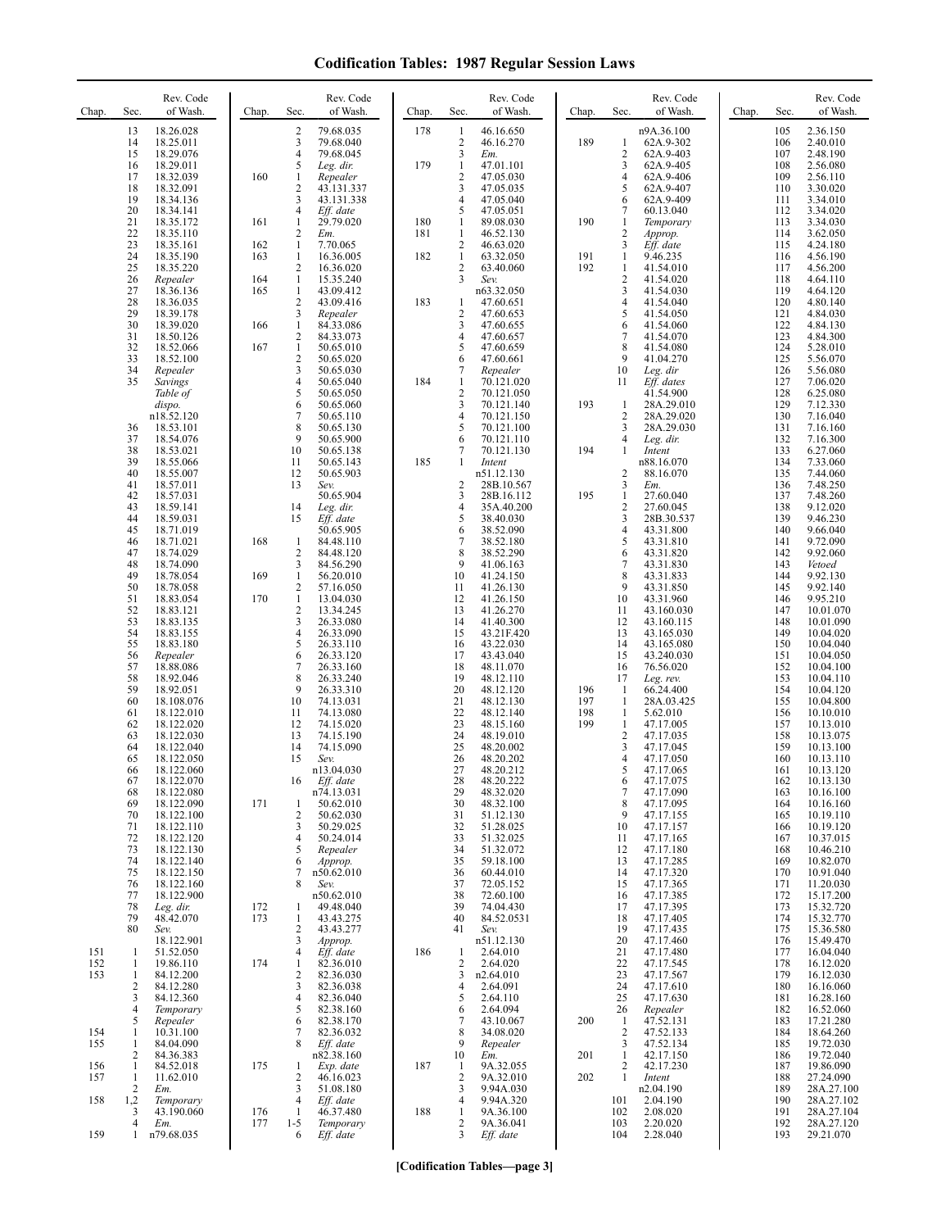| Chap.             | Sec.                                  | Rev. Code<br>of Wash.                            | Chap.      | Sec.                                           | Rev. Code<br>of Wash.                             | Chap. | Sec.                                     | Rev. Code<br>of Wash.                            | Chap.             | Sec.                                           | Rev. Code<br>of Wash.                            | Chap. | Sec.                     | Rev. Code<br>of Wash.                        |
|-------------------|---------------------------------------|--------------------------------------------------|------------|------------------------------------------------|---------------------------------------------------|-------|------------------------------------------|--------------------------------------------------|-------------------|------------------------------------------------|--------------------------------------------------|-------|--------------------------|----------------------------------------------|
|                   | 13<br>14<br>15                        | 18.26.028<br>18.25.011<br>18.29.076              |            | $\overline{\mathbf{c}}$<br>3<br>$\overline{4}$ | 79.68.035<br>79.68.040<br>79.68.045               | 178   | 1<br>$\overline{2}$<br>3                 | 46.16.650<br>46.16.270<br>Em.                    | 189               | 1<br>$\overline{c}$                            | n9A.36.100<br>62A.9-302<br>62A.9-403             |       | 105<br>106<br>107        | 2.36.150<br>2.40.010<br>2.48.190             |
|                   | 16<br>17<br>18<br>19                  | 18.29.011<br>18.32.039<br>18.32.091<br>18.34.136 | 160        | 5<br>$\mathbf{1}$<br>$\overline{c}$<br>3       | Leg. dir.<br>Repealer<br>43.131.337<br>43.131.338 | 179   | $\mathbf{1}$<br>$\overline{2}$<br>3<br>4 | 47.01.101<br>47.05.030<br>47.05.035<br>47.05.040 |                   | 3<br>4<br>5<br>6                               | 62A.9-405<br>62A.9-406<br>62A.9-407<br>62A.9-409 |       | 108<br>109<br>110<br>111 | 2.56.080<br>2.56.110<br>3.30.020<br>3.34.010 |
|                   | 20<br>21                              | 18.34.141<br>18.35.172                           | 161        | 4<br>$\mathbf{1}$                              | Eff. date<br>29.79.020                            | 180   | 5<br>1                                   | 47.05.051<br>89.08.030                           | 190               | 7<br>1                                         | 60.13.040<br>Temporary                           |       | 112<br>113               | 3.34.020<br>3.34.030                         |
|                   | 22<br>23                              | 18.35.110<br>18.35.161                           | 162        | $\overline{c}$<br>$\mathbf{1}$                 | Em.<br>7.70.065                                   | 181   | $\mathbf{1}$<br>$\boldsymbol{2}$         | 46.52.130<br>46.63.020                           |                   | $\overline{\mathbf{c}}$<br>3                   | Approp.<br>Eff. date                             |       | 114<br>115               | 3.62.050<br>4.24.180                         |
|                   | 24<br>25<br>26                        | 18.35.190<br>18.35.220<br>Repealer               | 163<br>164 | $\mathbf{1}$<br>$\overline{c}$<br>$\mathbf{1}$ | 16.36.005<br>16.36.020<br>15.35.240               | 182   | $\mathbf{1}$<br>2<br>3                   | 63.32.050<br>63.40.060<br>Sev.                   | 191<br>192        | $\mathbf{1}$<br>$\mathbf{1}$<br>$\overline{c}$ | 9.46.235<br>41.54.010<br>41.54.020               |       | 116<br>117<br>118        | 4.56.190<br>4.56.200<br>4.64.110             |
|                   | 27<br>28                              | 18.36.136<br>18.36.035                           | 165        | $\mathbf{1}$<br>$\overline{2}$                 | 43.09.412<br>43.09.416                            | 183   | 1                                        | n63.32.050<br>47.60.651                          |                   | 3<br>$\overline{4}$                            | 41.54.030<br>41.54.040                           |       | 119<br>120               | 4.64.120<br>4.80.140                         |
|                   | 29<br>30<br>31                        | 18.39.178<br>18.39.020<br>18.50.126              | 166        | 3<br>$\mathbf{1}$<br>$\mathfrak{2}$            | Repealer<br>84.33.086<br>84.33.073                |       | 2<br>3<br>4                              | 47.60.653<br>47.60.655<br>47.60.657              |                   | 5<br>6<br>$\overline{7}$                       | 41.54.050<br>41.54.060<br>41.54.070              |       | 121<br>122<br>123        | 4.84.030<br>4.84.130<br>4.84.300             |
|                   | 32<br>33                              | 18.52.066<br>18.52.100                           | 167        | $\mathbf{1}$<br>$\overline{c}$                 | 50.65.010<br>50.65.020                            |       | 5<br>6                                   | 47.60.659<br>47.60.661                           |                   | 8<br>9                                         | 41.54.080<br>41.04.270                           |       | 124<br>125               | 5.28.010<br>5.56.070                         |
|                   | 34<br>35                              | Repealer<br>Savings<br>Table of                  |            | 3<br>$\overline{4}$<br>5                       | 50.65.030<br>50.65.040<br>50.65.050               | 184   | 7<br>$\mathbf{1}$<br>$\overline{c}$      | Repealer<br>70.121.020<br>70.121.050             |                   | 10<br>11                                       | Leg. dir<br>$Eff.$ dates<br>41.54.900            |       | 126<br>127<br>128        | 5.56.080<br>7.06.020<br>6.25.080             |
|                   |                                       | dispo.<br>n18.52.120                             |            | 6<br>$\overline{7}$                            | 50.65.060<br>50.65.110                            |       | 3<br>4                                   | 70.121.140<br>70.121.150                         | 193               | $\mathbf{1}$<br>$\overline{2}$                 | 28A.29.010<br>28A.29.020                         |       | 129<br>130               | 7.12.330<br>7.16.040                         |
|                   | 36<br>37<br>38                        | 18.53.101<br>18.54.076<br>18.53.021              |            | 8<br>9<br>10                                   | 50.65.130<br>50.65.900<br>50.65.138               |       | 5<br>6<br>7                              | 70.121.100<br>70.121.110<br>70.121.130           | 194               | 3<br>4<br>1                                    | 28A.29.030<br>Leg. dir.<br>Intent                |       | 131<br>132<br>133        | 7.16.160<br>7.16.300<br>6.27.060             |
|                   | 39<br>40                              | 18.55.066<br>18.55.007                           |            | 11<br>12                                       | 50.65.143<br>50.65.903                            | 185   | 1                                        | Intent<br>n51.12.130                             |                   | $\overline{c}$                                 | n88.16.070<br>88.16.070                          |       | 134<br>135               | 7.33.060<br>7.44.060                         |
|                   | 41<br>42<br>43                        | 18.57.011<br>18.57.031<br>18.59.141              |            | 13<br>14                                       | Sev.<br>50.65.904<br>Leg. dir.                    |       | $\overline{2}$<br>3<br>4                 | 28B.10.567<br>28B.16.112<br>35A.40.200           | 195               | 3<br>1<br>$\overline{\mathbf{c}}$              | Em.<br>27.60.040<br>27.60.045                    |       | 136<br>137<br>138        | 7.48.250<br>7.48.260<br>9.12.020             |
|                   | 44<br>45                              | 18.59.031<br>18.71.019                           |            | 15                                             | Eff. date<br>50.65.905                            |       | 5<br>6                                   | 38.40.030<br>38.52.090                           |                   | 3<br>$\overline{4}$<br>5                       | 28B.30.537<br>43.31.800                          |       | 139<br>140               | 9.46.230<br>9.66.040                         |
|                   | 46<br>47<br>48                        | 18.71.021<br>18.74.029<br>18.74.090              | 168        | $\mathbf{1}$<br>$\overline{2}$<br>3            | 84.48.110<br>84.48.120<br>84.56.290               |       | 7<br>8<br>9                              | 38.52.180<br>38.52.290<br>41.06.163              |                   | 6<br>$\overline{7}$                            | 43.31.810<br>43.31.820<br>43.31.830              |       | 141<br>142<br>143        | 9.72.090<br>9.92.060<br>Vetoed               |
|                   | 49<br>50<br>51                        | 18.78.054<br>18.78.058<br>18.83.054              | 169<br>170 | $\mathbf{1}$<br>$\mathbf{2}$<br>$\mathbf{1}$   | 56.20.010<br>57.16.050<br>13.04.030               |       | 10<br>11<br>12                           | 41.24.150<br>41.26.130<br>41.26.150              |                   | 8<br>9<br>10                                   | 43.31.833<br>43.31.850<br>43.31.960              |       | 144<br>145<br>146        | 9.92.130<br>9.92.140<br>9.95.210             |
|                   | 52<br>53                              | 18.83.121<br>18.83.135                           |            | $\overline{c}$<br>3                            | 13.34.245<br>26.33.080                            |       | 13<br>14                                 | 41.26.270<br>41.40.300                           |                   | 11<br>12                                       | 43.160.030<br>43.160.115                         |       | 147<br>148               | 10.01.070<br>10.01.090                       |
|                   | 54<br>55<br>56                        | 18.83.155<br>18.83.180<br>Repealer               |            | $\overline{4}$<br>5<br>6                       | 26.33.090<br>26.33.110<br>26.33.120               |       | 15<br>16<br>17                           | 43.21F.420<br>43.22.030<br>43.43.040             |                   | 13<br>14<br>15                                 | 43.165.030<br>43.165.080<br>43.240.030           |       | 149<br>150<br>151        | 10.04.020<br>10.04.040<br>10.04.050          |
|                   | 57<br>58                              | 18.88.086<br>18.92.046                           |            | $\overline{7}$<br>8                            | 26.33.160<br>26.33.240                            |       | 18<br>19                                 | 48.11.070<br>48.12.110                           |                   | 16<br>17                                       | 76.56.020<br>Leg. rev.                           |       | 152<br>153               | 10.04.100<br>10.04.110                       |
|                   | 59<br>60<br>61                        | 18.92.051<br>18.108.076<br>18.122.010            |            | 9<br>10<br>11                                  | 26.33.310<br>74.13.031<br>74.13.080               |       | 20<br>21<br>22                           | 48.12.120<br>48.12.130<br>48.12.140              | 196<br>197<br>198 | -1<br>1<br>1                                   | 66.24.400<br>28A.03.425<br>5.62.010              |       | 154<br>155<br>156        | 10.04.120<br>10.04.800<br>10.10.010          |
|                   | 62<br>63                              | 18.122.020<br>18.122.030                         |            | 12<br>13                                       | 74.15.020<br>74.15.190                            |       | 23<br>24                                 | 48.15.160<br>48.19.010                           | 199               | 1<br>$\overline{\mathbf{c}}$                   | 47.17.005<br>47.17.035                           |       | 157<br>158               | 10.13.010<br>10.13.075                       |
|                   | 64<br>65<br>66                        | 18.122.040<br>18.122.050<br>18.122.060           |            | 14<br>15                                       | 74.15.090<br>Sev.<br>n13.04.030                   |       | 25<br>26<br>27                           | 48.20.002<br>48.20.202<br>48.20.212              |                   | 3<br>4<br>5                                    | 47.17.045<br>47.17.050<br>47.17.065              |       | 159<br>160<br>161        | 10.13.100<br>10.13.110<br>10.13.120          |
|                   | 67<br>68                              | 18.122.070<br>18.122.080                         |            | 16                                             | Eff. date<br>n74.13.031                           |       | 28<br>29                                 | 48.20.222<br>48.32.020                           |                   | 6<br>$\tau$                                    | 47.17.075<br>47.17.090                           |       | 162<br>163               | 10.13.130<br>10.16.100                       |
|                   | 69<br>70<br>71                        | 18.122.090<br>18.122.100<br>18.122.110           | 171        | 1<br>$\overline{2}$<br>3                       | 50.62.010<br>50.62.030<br>50.29.025               |       | 30<br>31<br>32                           | 48.32.100<br>51.12.130<br>51.28.025              |                   | 8<br>9<br>10                                   | 47.17.095<br>47.17.155<br>47.17.157              |       | 164<br>165<br>166        | 10.16.160<br>10.19.110<br>10.19.120          |
|                   | 72<br>73<br>74                        | 18.122.120<br>18.122.130<br>18.122.140           |            | $\overline{4}$<br>5<br>6                       | 50.24.014<br>Repealer<br>Approp.                  |       | 33<br>34<br>35                           | 51.32.025<br>51.32.072<br>59.18.100              |                   | 11<br>12<br>13                                 | 47.17.165<br>47.17.180<br>47.17.285              |       | 167<br>168<br>169        | 10.37.015<br>10.46.210<br>10.82.070          |
|                   | 75<br>76                              | 18.122.150<br>18.122.160                         |            | 7<br>8                                         | n50.62.010<br>Sev.                                |       | 36<br>37                                 | 60.44.010<br>72.05.152                           |                   | 14<br>15                                       | 47.17.320<br>47.17.365                           |       | 170<br>171               | 10.91.040<br>11.20.030                       |
|                   | 77<br>78<br>79                        | 18.122.900<br>Leg. dir.<br>48.42.070             | 172<br>173 | 1<br>1                                         | n50.62.010<br>49.48.040<br>43.43.275              |       | 38<br>39<br>40                           | 72.60.100<br>74.04.430<br>84.52.0531             |                   | 16<br>17<br>18                                 | 47.17.385<br>47.17.395<br>47.17.405              |       | 172<br>173<br>174        | 15.17.200<br>15.32.720<br>15.32.770          |
|                   | 80                                    | Sev.<br>18.122.901                               |            | $\sqrt{2}$<br>3                                | 43.43.277<br>Approp.                              |       | 41                                       | Sev.<br>n51.12.130                               |                   | 19<br>20                                       | 47.17.435<br>47.17.460                           |       | 175<br>176               | 15.36.580<br>15.49.470                       |
| 151<br>152<br>153 | -1<br>-1<br>$\mathbf{1}$              | 51.52.050<br>19.86.110<br>84.12.200              | 174        | 4<br>1<br>$\overline{\mathbf{c}}$              | Eff. date<br>82.36.010<br>82.36.030               | 186   | $\mathbf{1}$<br>$\overline{c}$<br>3      | 2.64.010<br>2.64.020<br>n2.64.010                |                   | 21<br>22<br>23                                 | 47.17.480<br>47.17.545<br>47.17.567              |       | 177<br>178<br>179        | 16.04.040<br>16.12.020<br>16.12.030          |
|                   | $\overline{2}$<br>3<br>$\overline{4}$ | 84.12.280<br>84.12.360<br>Temporary              |            | 3<br>4<br>5                                    | 82.36.038<br>82.36.040<br>82.38.160               |       | 4<br>5<br>6                              | 2.64.091<br>2.64.110<br>2.64.094                 |                   | 24<br>25<br>26                                 | 47.17.610<br>47.17.630<br>Repealer               |       | 180<br>181<br>182        | 16.16.060<br>16.28.160<br>16.52.060          |
| 154               | 5<br>-1                               | Repealer<br>10.31.100                            |            | 6<br>7                                         | 82.38.170<br>82.36.032                            |       | 7<br>8                                   | 43.10.067<br>34.08.020                           | 200               | -1<br>$\overline{c}$                           | 47.52.131<br>47.52.133                           |       | 183<br>184               | 17.21.280<br>18.64.260                       |
| 155<br>156        | -1<br>$\overline{2}$<br>-1            | 84.04.090<br>84.36.383<br>84.52.018              | 175        | 8<br>1                                         | Eff. date<br>n82.38.160<br>Exp. date              | 187   | 9<br>10<br>$\mathbf{1}$                  | Repealer<br>Em.<br>9A.32.055                     | 201               | 3<br>1<br>2                                    | 47.52.134<br>42.17.150<br>42.17.230              |       | 185<br>186<br>187        | 19.72.030<br>19.72.040<br>19.86.090          |
| 157               | -1<br>$\overline{2}$                  | 11.62.010<br>Em.                                 |            | 2<br>3                                         | 46.16.023<br>51.08.180                            |       | $\overline{2}$<br>3                      | 9A.32.010<br>9.94A.030                           | 202               | -1                                             | Intent<br>n2.04.190                              |       | 188<br>189               | 27.24.090<br>28A.27.100                      |
| 158               | 1,2<br>3<br>$\overline{4}$            | Temporary<br>43.190.060<br>Em.                   | 176<br>177 | $\overline{4}$<br>$\mathbf{1}$<br>$1 - 5$      | Eff. date<br>46.37.480<br>Temporary               | 188   | 4<br>1<br>$\overline{c}$                 | 9.94A.320<br>9A.36.100<br>9A.36.041              |                   | 101<br>102<br>103                              | 2.04.190<br>2.08.020<br>2.20.020                 |       | 190<br>191<br>192        | 28A.27.102<br>28A.27.104<br>28A.27.120       |
| 159               | 1                                     | n79.68.035                                       |            | 6                                              | Eff. date                                         |       | 3                                        | Eff. date                                        |                   | 104                                            | 2.28.040                                         |       | 193                      | 29.21.070                                    |

**[Codification Tables—page 3]**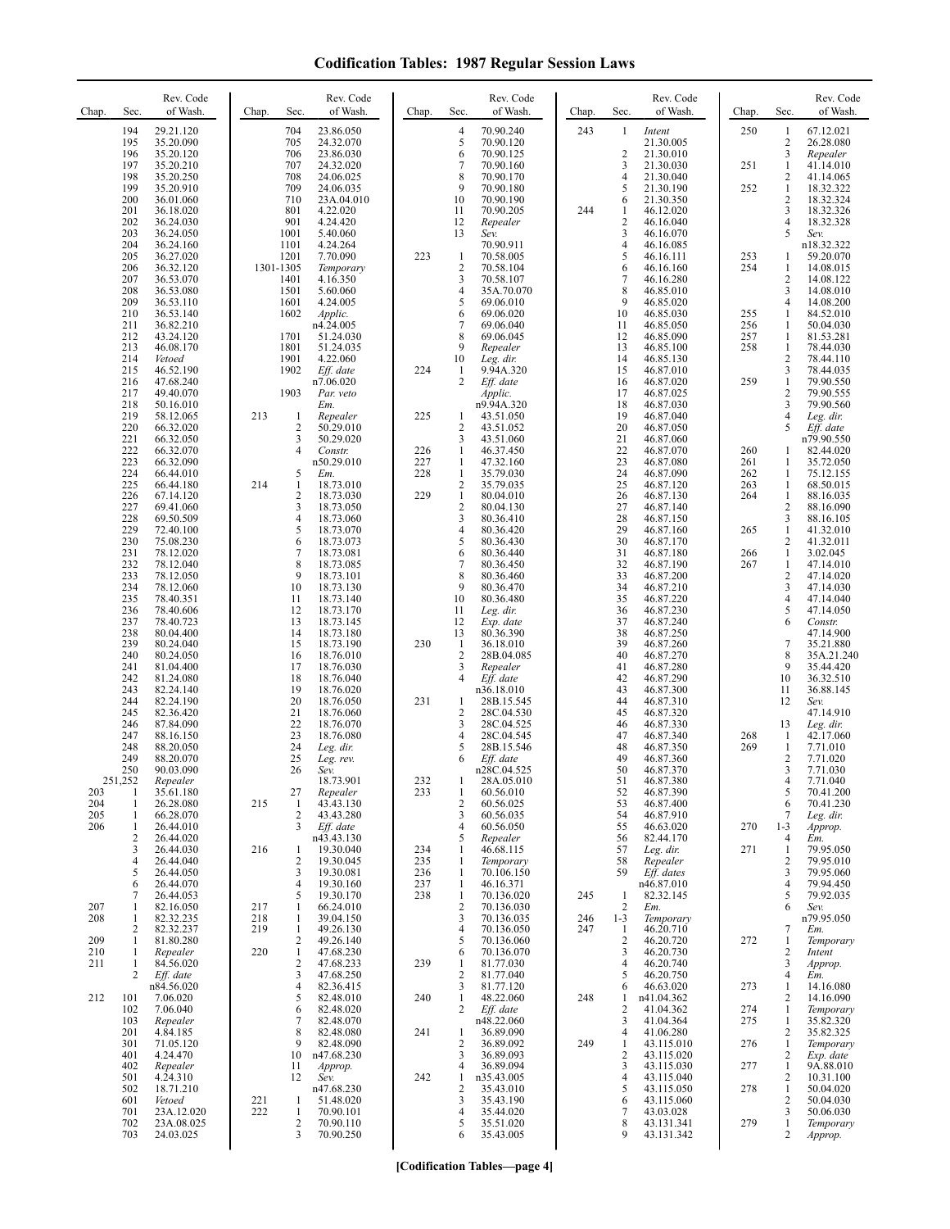| Chap.      | Sec.                | Rev. Code<br>of Wash.  | Chap.          | Sec.                         | Rev. Code<br>of Wash.   | Chap.      | Sec.                           | Rev. Code<br>of Wash.    | Chap. | Sec.                 | Rev. Code<br>of Wash.    | Chap.      | Sec.                | Rev. Code<br>of Wash.   |
|------------|---------------------|------------------------|----------------|------------------------------|-------------------------|------------|--------------------------------|--------------------------|-------|----------------------|--------------------------|------------|---------------------|-------------------------|
|            | 194<br>195          | 29.21.120              |                | 704                          | 23.86.050               |            | 4                              | 70.90.240                | 243   | 1                    | Intent                   | 250        | 1                   | 67.12.021               |
|            | 196                 | 35.20.090<br>35.20.120 |                | 705<br>706                   | 24.32.070<br>23.86.030  |            | 5<br>6                         | 70.90.120<br>70.90.125   |       | $\overline{c}$       | 21.30.005<br>21.30.010   |            | $\overline{c}$<br>3 | 26.28.080<br>Repealer   |
|            | 197<br>198          | 35.20.210<br>35.20.250 |                | 707<br>708                   | 24.32.020<br>24.06.025  |            | 7<br>8                         | 70.90.160<br>70.90.170   |       | 3<br>$\overline{4}$  | 21.30.030<br>21.30.040   | 251        | $\mathbf{1}$<br>2   | 41.14.010<br>41.14.065  |
|            | 199                 | 35.20.910              |                | 709                          | 24.06.035               |            | 9                              | 70.90.180                |       | 5                    | 21.30.190                | 252        | 1                   | 18.32.322               |
|            | 200<br>201          | 36.01.060<br>36.18.020 |                | 710<br>801                   | 23A.04.010<br>4.22.020  |            | 10<br>11                       | 70.90.190<br>70.90.205   | 244   | 6<br>1               | 21.30.350<br>46.12.020   |            | 2<br>3              | 18.32.324<br>18.32.326  |
|            | 202                 | 36.24.030              |                | 901                          | 4.24.420                |            | 12                             | Repealer                 |       | $\overline{2}$       | 46.16.040                |            | 4                   | 18.32.328               |
|            | 203<br>204          | 36.24.050<br>36.24.160 |                | 1001<br>1101                 | 5.40.060<br>4.24.264    |            | 13                             | Sev.<br>70.90.911        |       | 3<br>$\overline{4}$  | 46.16.070<br>46.16.085   |            | 5                   | Sev.<br>n18.32.322      |
|            | 205                 | 36.27.020              |                | 1201                         | 7.70.090                | 223        | $\mathbf{1}$                   | 70.58.005<br>70.58.104   |       | 5                    | 46.16.111                | 253<br>254 | 1                   | 59.20.070               |
|            | 206<br>207          | 36.32.120<br>36.53.070 |                | 1301-1305<br>1401            | Temporary<br>4.16.350   |            | $\sqrt{2}$<br>3                | 70.58.107                |       | 6<br>7               | 46.16.160<br>46.16.280   |            | 1<br>2              | 14.08.015<br>14.08.122  |
|            | 208<br>209          | 36.53.080<br>36.53.110 |                | 1501<br>1601                 | 5.60.060<br>4.24.005    |            | 4<br>5                         | 35A.70.070<br>69.06.010  |       | 8<br>9               | 46.85.010<br>46.85.020   |            | 3<br>4              | 14.08.010<br>14.08.200  |
|            | 210                 | 36.53.140              |                | 1602                         | Applic.                 |            | 6                              | 69.06.020                |       | 10                   | 46.85.030                | 255        | 1                   | 84.52.010               |
|            | 211<br>212          | 36.82.210<br>43.24.120 |                | 1701                         | n4.24.005<br>51.24.030  |            | 7<br>8                         | 69.06.040<br>69.06.045   |       | 11<br>12             | 46.85.050<br>46.85.090   | 256<br>257 | 1<br>1              | 50.04.030<br>81.53.281  |
|            | 213                 | 46.08.170              |                | 1801                         | 51.24.035               |            | 9                              | Repealer                 |       | 13                   | 46.85.100                | 258        | $\mathbf{1}$        | 78.44.030               |
|            | 214<br>215          | Vetoed<br>46.52.190    |                | 1901<br>1902                 | 4.22.060<br>Eff. date   | 224        | 10<br>1                        | Leg. dir.<br>9.94A.320   |       | 14<br>15             | 46.85.130<br>46.87.010   |            | 2<br>3              | 78.44.110<br>78.44.035  |
|            | 216<br>217          | 47.68.240<br>49.40.070 |                | 1903                         | n7.06.020<br>Par. veto  |            | $\overline{c}$                 | Eff. date<br>Applic.     |       | 16<br>17             | 46.87.020<br>46.87.025   | 259        | $\mathbf{1}$<br>2   | 79.90.550<br>79.90.555  |
|            | 218                 | 50.16.010              |                |                              | Em.                     |            |                                | n9.94A.320               |       | 18                   | 46.87.030                |            | 3                   | 79.90.560               |
|            | 219<br>220          | 58.12.065<br>66.32.020 | 213            | 1<br>2                       | Repealer<br>50.29.010   | 225        | 1<br>2                         | 43.51.050<br>43.51.052   |       | 19<br>20             | 46.87.040<br>46.87.050   |            | 4<br>5              | Leg. dir.<br>Eff. date  |
|            | 221                 | 66.32.050              |                | 3                            | 50.29.020               |            | 3                              | 43.51.060                |       | 21<br>22             | 46.87.060                |            |                     | n79.90.550              |
|            | 222<br>223          | 66.32.070<br>66.32.090 |                | 4                            | Constr.<br>n50.29.010   | 226<br>227 | 1<br>1                         | 46.37.450<br>47.32.160   |       | 23                   | 46.87.070<br>46.87.080   | 260<br>261 | 1<br>1              | 82.44.020<br>35.72.050  |
|            | 224<br>225          | 66.44.010<br>66.44.180 | 214            | 5<br>$\mathbf{1}$            | Em.<br>18.73.010        | 228        | 1<br>2                         | 35.79.030<br>35.79.035   |       | 24<br>25             | 46.87.090<br>46.87.120   | 262<br>263 | 1<br>1              | 75.12.155<br>68.50.015  |
|            | 226                 | 67.14.120              |                | $\mathbf{2}$                 | 18.73.030               | 229        | $\mathbf{1}$                   | 80.04.010                |       | 26                   | 46.87.130                | 264        | $\mathbf{1}$        | 88.16.035               |
|            | 227<br>228          | 69.41.060<br>69.50.509 |                | 3<br>4                       | 18.73.050<br>18.73.060  |            | 2<br>3                         | 80.04.130<br>80.36.410   |       | 27<br>28             | 46.87.140<br>46.87.150   |            | 2<br>3              | 88.16.090<br>88.16.105  |
|            | 229                 | 72.40.100              |                | 5                            | 18.73.070               |            | 4                              | 80.36.420                |       | 29                   | 46.87.160                | 265        | $\mathbf{1}$        | 41.32.010               |
|            | 230<br>231          | 75.08.230<br>78.12.020 |                | 6<br>7                       | 18.73.073<br>18.73.081  |            | 5<br>6                         | 80.36.430<br>80.36.440   |       | 30<br>31             | 46.87.170<br>46.87.180   | 266        | 2<br>$\mathbf{1}$   | 41.32.011<br>3.02.045   |
|            | 232<br>233          | 78.12.040<br>78.12.050 |                | 8<br>9                       | 18.73.085<br>18.73.101  |            | 7<br>8                         | 80.36.450<br>80.36.460   |       | 32<br>33             | 46.87.190<br>46.87.200   | 267        | 1<br>2              | 47.14.010<br>47.14.020  |
|            | 234                 | 78.12.060              |                | 10                           | 18.73.130               |            | 9                              | 80.36.470                |       | 34                   | 46.87.210                |            | 3                   | 47.14.030               |
|            | 235<br>236          | 78.40.351<br>78.40.606 |                | 11<br>12                     | 18.73.140<br>18.73.170  |            | 10<br>11                       | 80.36.480<br>Leg. dir.   |       | 35<br>36             | 46.87.220<br>46.87.230   |            | 4<br>5              | 47.14.040<br>47.14.050  |
|            | 237                 | 78.40.723              |                | 13<br>14                     | 18.73.145               |            | 12                             | Exp. date                |       | 37<br>38             | 46.87.240                |            | 6                   | Constr.                 |
|            | 238<br>239          | 80.04.400<br>80.24.040 |                | 15                           | 18.73.180<br>18.73.190  | 230        | 13<br>1                        | 80.36.390<br>36.18.010   |       | 39                   | 46.87.250<br>46.87.260   |            | 7                   | 47.14.900<br>35.21.880  |
|            | 240<br>241          | 80.24.050<br>81.04.400 |                | 16<br>17                     | 18.76.010<br>18.76.030  |            | $\overline{2}$<br>3            | 28B.04.085<br>Repealer   |       | 40<br>41             | 46.87.270<br>46.87.280   |            | 8<br>9              | 35A.21.240<br>35.44.420 |
|            | 242                 | 81.24.080              |                | 18                           | 18.76.040               |            | 4                              | Eff. date                |       | 42                   | 46.87.290                |            | 10                  | 36.32.510               |
|            | 243<br>244          | 82.24.140<br>82.24.190 |                | 19<br>20                     | 18.76.020<br>18.76.050  | 231        | 1                              | n36.18.010<br>28B.15.545 |       | 43<br>44             | 46.87.300<br>46.87.310   |            | 11<br>12            | 36.88.145<br>Sev.       |
|            | 245                 | 82.36.420              |                | 21<br>22                     | 18.76.060<br>18.76.070  |            | 2                              | 28C.04.530<br>28C.04.525 |       | 45                   | 46.87.320                |            | 13                  | 47.14.910               |
|            | 246<br>247          | 87.84.090<br>88.16.150 |                | 23                           | 18.76.080               |            | 3<br>4                         | 28C.04.545               |       | 46<br>47             | 46.87.330<br>46.87.340   | 268        | -1                  | Leg. dir.<br>42.17.060  |
|            | 248<br>249          | 88.20.050<br>88.20.070 |                | 24<br>25                     | Leg. dir.<br>Leg. rev.  |            | 5                              | 28B.15.546<br>Eff. date  |       | 48<br>49             | 46.87.350<br>46.87.360   | 269        | 1<br>2              | 7.71.010<br>7.71.020    |
|            | 250                 | 90.03.090              |                | 26                           | Sev.                    |            |                                | n28C.04.525              |       | 50                   | 46.87.370                |            | 3                   | 7.71.030                |
| 203        | 251,252<br>1        | Repealer<br>35.61.180  |                | 27                           | 18.73.901<br>Repealer   | 232<br>233 | 1                              | 28A.05.010<br>60.56.010  |       | $\mathcal{L}$<br>52  | 46.87.380<br>46.87.390   |            | 4<br>5              | 7.71.040<br>70.41.200   |
| 204        | 1                   | 26.28.080              | 215            | -1<br>2                      | 43.43.130               |            | 2<br>3                         | 60.56.025                |       | 53                   | 46.87.400                |            | 6<br>7              | 70.41.230               |
| 205<br>206 | 1<br>1              | 66.28.070<br>26.44.010 |                | 3                            | 43.43.280<br>Eff. date  |            | 4                              | 60.56.035<br>60.56.050   |       | 54<br>55             | 46.87.910<br>46.63.020   | 270        | $1 - 3$             | Leg. dir.<br>Approp.    |
|            | $\overline{2}$<br>3 | 26.44.020<br>26.44.030 | 216            | 1                            | n43.43.130<br>19.30.040 | 234        | 5<br>1                         | Repealer<br>46.68.115    |       | 56<br>57             | 82.44.170<br>Leg. dir.   | 271        | 4<br>$\mathbf{1}$   | Em.<br>79.95.050        |
|            | $\overline{4}$      | 26.44.040              |                | 2                            | 19.30.045               | 235        | 1                              | Temporary                |       | 58                   | Repealer                 |            | 2                   | 79.95.010               |
|            | 5<br>6              | 26.44.050<br>26.44.070 |                | 3<br>4                       | 19.30.081<br>19.30.160  | 236<br>237 | 1<br>1                         | 70.106.150<br>46.16.371  |       | 59                   | Eff. dates<br>n46.87.010 |            | 3<br>4              | 79.95.060<br>79.94.450  |
| 207        | 7<br>1              | 26.44.053<br>82.16.050 | 217            | 5<br>$\mathbf{1}$            | 19.30.170<br>66.24.010  | 238        | $\mathbf{1}$<br>$\overline{2}$ | 70.136.020<br>70.136.030 | 245   | 1<br>$\overline{c}$  | 82.32.145<br>Em.         |            | 5<br>6              | 79.92.035<br>Sev.       |
| 208        | 1                   | 82.32.235              | 218            | 1                            | 39.04.150               |            | 3                              | 70.136.035               | 246   | $1 - 3$              | Temporary                |            |                     | n79.95.050              |
| 209        | 2<br>1              | 82.32.237<br>81.80.280 | 219            | 1<br>2                       | 49.26.130<br>49.26.140  |            | 4<br>5                         | 70.136.050<br>70.136.060 | 247   | -1<br>$\overline{2}$ | 46.20.710<br>46.20.720   | 272        | 7<br>1              | Em.<br>Temporary        |
| 210<br>211 | 1<br>1              | Repealer<br>84.56.020  | 220            | $\mathbf{1}$<br>2            | 47.68.230<br>47.68.233  | 239        | 6<br>1                         | 70.136.070<br>81.77.030  |       | 3<br>$\overline{4}$  | 46.20.730<br>46.20.740   |            | 2<br>3              | Intent<br>Approp.       |
|            | 2                   | Eff. date              |                | 3                            | 47.68.250               |            | 2                              | 81.77.040                |       | 5                    | 46.20.750                |            | 4                   | Em.                     |
| 212        | 101                 | n84.56.020<br>7.06.020 |                | $\overline{4}$<br>5          | 82.36.415<br>82.48.010  | 240        | 3<br>1                         | 81.77.120<br>48.22.060   | 248   | 6<br>1               | 46.63.020<br>n41.04.362  | 273        | 1<br>2              | 14.16.080<br>14.16.090  |
|            | 102                 | 7.06.040               |                | 6                            | 82.48.020               |            | 2                              | Eff. date                |       | $\overline{2}$       | 41.04.362                | 274        | $\mathbf{1}$        | Temporary               |
|            | 103<br>201          | Repealer<br>4.84.185   |                | 7<br>8                       | 82.48.070<br>82.48.080  | 241        | 1                              | n48.22.060<br>36.89.090  |       | 3<br>$\overline{4}$  | 41.04.364<br>41.06.280   | 275        | 1<br>$\overline{c}$ | 35.82.320<br>35.82.325  |
|            | 301<br>401          | 71.05.120<br>4.24.470  |                | 9<br>10                      | 82.48.090<br>n47.68.230 |            | 2<br>3                         | 36.89.092<br>36.89.093   | 249   | 1<br>2               | 43.115.010<br>43.115.020 | 276        | 1<br>2              | Temporary<br>Exp. date  |
|            | 402                 | Repealer               |                | 11                           | Approp.                 |            | 4                              | 36.89.094                |       | 3                    | 43.115.030               | 277        | $\mathbf{1}$        | 9A.88.010               |
|            | 501<br>502          | 4.24.310<br>18.71.210  |                | 12                           | Sev.<br>n47.68.230      | 242        | 1<br>2                         | n35.43.005<br>35.43.010  |       | $\overline{4}$<br>5  | 43.115.040<br>43.115.050 | 278        | 2<br>$\mathbf{1}$   | 10.31.100<br>50.04.020  |
|            | 601<br>701          | Vetoed<br>23A.12.020   | $^{221}_{222}$ | $\mathbf{1}$<br>$\mathbf{1}$ | 51.48.020<br>70.90.101  |            | 3<br>4                         | 35.43.190<br>35.44.020   |       | 6<br>7               | 43.115.060<br>43.03.028  |            | 2<br>3              | 50.04.030               |
|            | 702                 | 23A.08.025             |                | 2                            | 70.90.110               |            | 5                              | 35.51.020                |       | 8                    | 43.131.341               | 279        | 1                   | 50.06.030<br>Temporary  |
|            | 703                 | 24.03.025              |                | 3                            | 70.90.250               |            | 6                              | 35.43.005                |       | 9                    | 43.131.342               |            | 2                   | Approp.                 |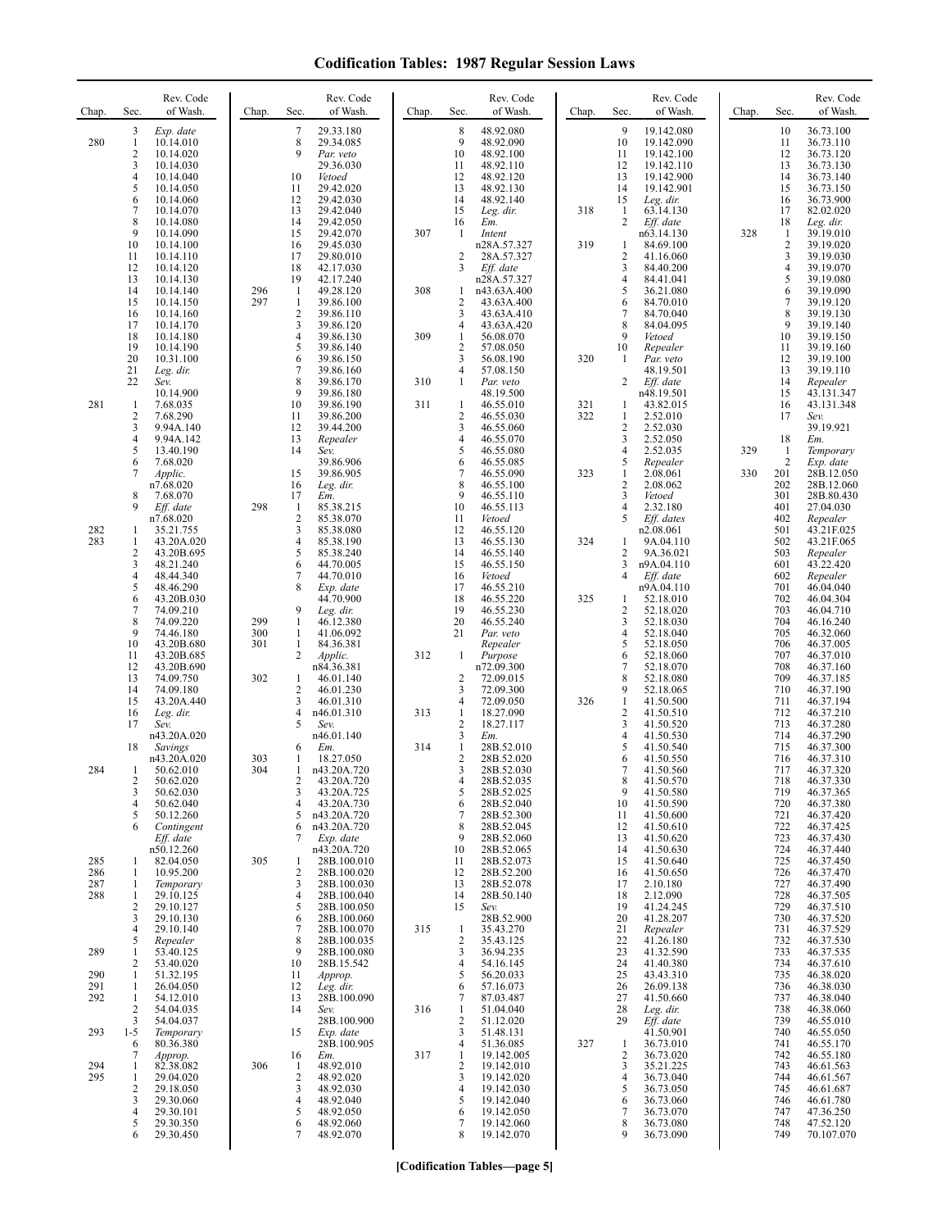| Chap.                    | Sec.                                                                         | Rev. Code<br>of Wash.                                                                                                                       | Chap.                    | Rev. Code<br>of Wash.<br>Sec.                                                                                                                                                                      | Chap.      | Sec.                                                                                               | Rev. Code<br>of Wash.                                                                                                                  | Chap.             | Sec.                                                                                    | Rev. Code<br>of Wash.                                                                                                                              | Chap.      | Sec.                                                                             | Rev. Code<br>of Wash.                                                                                                                       |
|--------------------------|------------------------------------------------------------------------------|---------------------------------------------------------------------------------------------------------------------------------------------|--------------------------|----------------------------------------------------------------------------------------------------------------------------------------------------------------------------------------------------|------------|----------------------------------------------------------------------------------------------------|----------------------------------------------------------------------------------------------------------------------------------------|-------------------|-----------------------------------------------------------------------------------------|----------------------------------------------------------------------------------------------------------------------------------------------------|------------|----------------------------------------------------------------------------------|---------------------------------------------------------------------------------------------------------------------------------------------|
| 280                      | 3<br>$\mathbf{1}$<br>$\overline{c}$<br>3<br>4<br>5<br>6<br>7<br>8<br>9<br>10 | Exp. date<br>10.14.010<br>10.14.020<br>10.14.030<br>10.14.040<br>10.14.050<br>10.14.060<br>10.14.070<br>10.14.080<br>10.14.090<br>10.14.100 |                          | 7<br>29.33.180<br>8<br>29.34.085<br>9<br>Par. veto<br>29.36.030<br>10<br>Vetoed<br>11<br>29.42.020<br>12<br>29.42.030<br>13<br>29.42.040<br>14<br>29.42.050<br>15<br>29.42.070<br>16<br>29.45.030  | 307        | $\,$ 8 $\,$<br>9<br>10<br>11<br>12<br>13<br>14<br>15<br>16<br>-1                                   | 48.92.080<br>48.92.090<br>48.92.100<br>48.92.110<br>48.92.120<br>48.92.130<br>48.92.140<br>Leg. dir.<br>Em.<br>Intent<br>n28A.57.327   | 318<br>319        | 9<br>10<br>11<br>12<br>13<br>14<br>15<br>$\mathbf{1}$<br>$\overline{c}$<br>$\mathbf{1}$ | 19.142.080<br>19.142.090<br>19.142.100<br>19.142.110<br>19.142.900<br>19.142.901<br>Leg. dir.<br>63.14.130<br>Eff. date<br>n63.14.130<br>84.69.100 | 328        | 10<br>11<br>12<br>13<br>14<br>15<br>16<br>17<br>18<br>$\mathbf{1}$<br>$\sqrt{2}$ | 36.73.100<br>36.73.110<br>36.73.120<br>36.73.130<br>36.73.140<br>36.73.150<br>36.73.900<br>82.02.020<br>Leg. dir.<br>39.19.010<br>39.19.020 |
|                          | 11<br>12<br>13<br>14<br>15<br>16<br>17<br>18<br>19                           | 10.14.110<br>10.14.120<br>10.14.130<br>10.14.140<br>10.14.150<br>10.14.160<br>10.14.170<br>10.14.180<br>10.14.190                           | 296<br>297               | 17<br>29.80.010<br>18<br>42.17.030<br>19<br>42.17.240<br>1<br>49.28.120<br>$\mathbf{1}$<br>39.86.100<br>$\overline{\mathbf{c}}$<br>39.86.110<br>3<br>39.86.120<br>4<br>39.86.130<br>5<br>39.86.140 | 308<br>309 | $\overline{2}$<br>3<br>1<br>$\overline{2}$<br>3<br>$\overline{4}$<br>1<br>$\overline{2}$           | 28A.57.327<br>Eff. date<br>n28A.57.327<br>n43.63A.400<br>43.63A.400<br>43.63A.410<br>43.63A.420<br>56.08.070<br>57.08.050              |                   | 2<br>3<br>4<br>5<br>6<br>7<br>8<br>9<br>10                                              | 41.16.060<br>84.40.200<br>84.41.041<br>36.21.080<br>84.70.010<br>84.70.040<br>84.04.095<br>Vetoed<br>Repealer                                      |            | 3<br>$\overline{4}$<br>5<br>6<br>7<br>8<br>9<br>10<br>11                         | 39.19.030<br>39.19.070<br>39.19.080<br>39.19.090<br>39.19.120<br>39.19.130<br>39.19.140<br>39.19.150<br>39.19.160                           |
| 281                      | 20<br>21<br>22<br>-1<br>$\overline{\mathbf{c}}$<br>3                         | 10.31.100<br>Leg. dir.<br>Sev.<br>10.14.900<br>7.68.035<br>7.68.290<br>9.94A.140                                                            |                          | 6<br>39.86.150<br>7<br>39.86.160<br>8<br>39.86.170<br>9<br>39.86.180<br>10<br>39.86.190<br>11<br>39.86.200<br>12<br>39.44.200                                                                      | 310<br>311 | 3<br>4<br>1<br>-1<br>$\overline{c}$<br>3                                                           | 56.08.190<br>57.08.150<br>Par. veto<br>48.19.500<br>46.55.010<br>46.55.030<br>46.55.060                                                | 320<br>321<br>322 | 1<br>2<br>1<br>1<br>2                                                                   | Par. veto<br>48.19.501<br>Eff. date<br>n48.19.501<br>43.82.015<br>2.52.010<br>2.52.030                                                             |            | 12<br>13<br>14<br>15<br>16<br>17                                                 | 39.19.100<br>39.19.110<br>Repealer<br>43.131.347<br>43.131.348<br>Sev.<br>39.19.921                                                         |
|                          | 4<br>5<br>6<br>7<br>8<br>9                                                   | 9.94A.142<br>13.40.190<br>7.68.020<br>Applic.<br>n7.68.020<br>7.68.070<br>Eff. date<br>n7.68.020                                            | 298                      | 13<br>Repealer<br>14<br>Sev.<br>39.86.906<br>15<br>39.86.905<br>16<br>Leg. dir.<br>17<br>Em.<br>1<br>85.38.215<br>$\overline{\mathbf{c}}$<br>85.38.070                                             |            | 4<br>5<br>6<br>$\tau$<br>8<br>9<br>10<br>11                                                        | 46.55.070<br>46.55.080<br>46.55.085<br>46.55.090<br>46.55.100<br>46.55.110<br>46.55.113<br>Vetoed                                      | 323               | 3<br>4<br>5<br>1<br>$\overline{2}$<br>3<br>4<br>5                                       | 2.52.050<br>2.52.035<br>Repealer<br>2.08.061<br>2.08.062<br>Vetoed<br>2.32.180<br>Eff. dates                                                       | 329<br>330 | 18<br>$\mathbf{1}$<br>$\overline{2}$<br>201<br>202<br>301<br>401<br>402          | Em.<br>Temporary<br>Exp. date<br>28B.12.050<br>28B.12.060<br>28B.80.430<br>27.04.030<br>Repealer                                            |
| 282<br>283               | 1<br>$\mathbf{1}$<br>$\overline{\mathbf{c}}$<br>3<br>4<br>5<br>6<br>7        | 35.21.755<br>43.20A.020<br>43.20B.695<br>48.21.240<br>48.44.340<br>48.46.290<br>43.20B.030<br>74.09.210                                     |                          | 3<br>85.38.080<br>4<br>85.38.190<br>5<br>85.38.240<br>6<br>44.70.005<br>7<br>44.70.010<br>8<br>Exp. date<br>44.70.900<br>9<br>Leg. dir.                                                            |            | 12<br>13<br>14<br>15<br>16<br>17<br>18<br>19                                                       | 46.55.120<br>46.55.130<br>46.55.140<br>46.55.150<br>Vetoed<br>46.55.210<br>46.55.220<br>46.55.230                                      | 324<br>325        | 1<br>2<br>3<br>4<br>1<br>2                                                              | n2.08.061<br>9A.04.110<br>9A.36.021<br>n9A.04.110<br>$Eff.$ date<br>n9A.04.110<br>52.18.010<br>52.18.020                                           |            | 501<br>502<br>503<br>601<br>602<br>701<br>702<br>703                             | 43.21F.025<br>43.21F.065<br>Repealer<br>43.22.420<br>Repealer<br>46.04.040<br>46.04.304<br>46.04.710                                        |
|                          | 8<br>9<br>10<br>11<br>12<br>13<br>14<br>15<br>16                             | 74.09.220<br>74.46.180<br>43.20B.680<br>43.20B.685<br>43.20B.690<br>74.09.750<br>74.09.180<br>43.20A.440<br>Leg. dir.                       | 299<br>300<br>301<br>302 | 1<br>46.12.380<br>1<br>41.06.092<br>$\mathbf{1}$<br>84.36.381<br>2<br>Applic.<br>n84.36.381<br>46.01.140<br>1<br>2<br>46.01.230<br>3<br>46.01.310<br>4<br>n46.01.310                               | 312<br>313 | 20<br>21<br>1<br>2<br>3<br>4<br>1                                                                  | 46.55.240<br>Par. veto<br>Repealer<br>Purpose<br>n72.09.300<br>72.09.015<br>72.09.300<br>72.09.050<br>18.27.090                        | 326               | 3<br>4<br>5<br>6<br>7<br>8<br>9<br>$\mathbf{1}$<br>$\overline{\mathbf{c}}$              | 52.18.030<br>52.18.040<br>52.18.050<br>52.18.060<br>52.18.070<br>52.18.080<br>52.18.065<br>41.50.500<br>41.50.510                                  |            | 704<br>705<br>706<br>707<br>708<br>709<br>710<br>711<br>712                      | 46.16.240<br>46.32.060<br>46.37.005<br>46.37.010<br>46.37.160<br>46.37.185<br>46.37.190<br>46.37.194<br>46.37.210                           |
| 284                      | 17<br>18<br>1<br>2<br>3<br>4<br>5<br>6                                       | Sev.<br>n43.20A.020<br>Savings<br>n43.20A.020<br>50.62.010<br>50.62.020<br>50.62.030<br>50.62.040<br>50.12.260                              | 303<br>304               | 5<br>Sev.<br>n46.01.140<br>6<br>Em.<br>18.27.050<br>1<br>n43.20A.720<br>1<br>2<br>43.20A.720<br>3<br>43.20A.725<br>43.20A.730<br>4<br>n43.20A.720<br>5                                             | 314        | $\overline{2}$<br>3<br>$\mathbf{1}$<br>2<br>3<br>4<br>5<br>6<br>7<br>8                             | 18.27.117<br>Em.<br>28B.52.010<br>28B.52.020<br>28B.52.030<br>28B.52.035<br>28B.52.025<br>28B.52.040<br>28B.52.300                     |                   | 3<br>4<br>5<br>6<br>7<br>8<br>9<br>10<br>11<br>12                                       | 41.50.520<br>41.50.530<br>41.50.540<br>41.50.550<br>41.50.560<br>41.50.570<br>41.50.580<br>41.50.590<br>41.50.600                                  |            | 713<br>714<br>715<br>716<br>717<br>718<br>719<br>720<br>721<br>722               | 46.37.280<br>46.37.290<br>46.37.300<br>46.37.310<br>46.37.320<br>46.37.330<br>46.37.365<br>46.37.380<br>46.37.420<br>46.37.425              |
| 285<br>286<br>287<br>288 | 1<br>1<br>1<br>1<br>$\overline{c}$<br>3                                      | Contingent<br>Eff. date<br>n50.12.260<br>82.04.050<br>10.95.200<br>Temporary<br>29.10.125<br>29.10.127<br>29.10.130                         | 305                      | n43.20A.720<br>6<br>7<br>Exp. date<br>n43.20A.720<br>28B.100.010<br>1<br>2<br>28B.100.020<br>3<br>28B.100.030<br>28B.100.040<br>4<br>5<br>28B.100.050<br>6<br>28B.100.060                          |            | 9<br>10<br>11<br>12<br>13<br>14<br>15                                                              | 28B.52.045<br>28B.52.060<br>28B.52.065<br>28B.52.073<br>28B.52.200<br>28B.52.078<br>28B.50.140<br>Sev.<br>28B.52.900                   |                   | 13<br>14<br>15<br>16<br>17<br>18<br>19<br>20                                            | 41.50.610<br>41.50.620<br>41.50.630<br>41.50.640<br>41.50.650<br>2.10.180<br>2.12.090<br>41.24.245<br>41.28.207                                    |            | 723<br>724<br>725<br>726<br>727<br>728<br>729<br>730                             | 46.37.430<br>46.37.440<br>46.37.450<br>46.37.470<br>46.37.490<br>46.37.505<br>46.37.510<br>46.37.520                                        |
| 289<br>290<br>291<br>292 | 4<br>5<br>1<br>2<br>1<br>1<br>1<br>$\overline{c}$<br>3                       | 29.10.140<br>Repealer<br>53.40.125<br>53.40.020<br>51.32.195<br>26.04.050<br>54.12.010<br>54.04.035<br>54.04.037                            |                          | 7<br>28B.100.070<br>8<br>28B.100.035<br>9<br>28B.100.080<br>10<br>28B.15.542<br>11<br>Approp.<br>12<br>Leg. dir.<br>13<br>28B.100.090<br>14<br>Sev.<br>28B.100.900                                 | 315<br>316 | $\mathbf{1}$<br>$\sqrt{2}$<br>3<br>$\overline{4}$<br>5<br>6<br>7<br>$\mathbf{1}$<br>$\overline{2}$ | 35.43.270<br>35.43.125<br>36.94.235<br>54.16.145<br>56.20.033<br>57.16.073<br>87.03.487<br>51.04.040<br>51.12.020                      |                   | 21<br>22<br>23<br>24<br>25<br>26<br>27<br>28<br>29                                      | Repealer<br>41.26.180<br>41.32.590<br>41.40.380<br>43.43.310<br>26.09.138<br>41.50.660<br>Leg. dir.<br>Eff. date                                   |            | 731<br>732<br>733<br>734<br>735<br>736<br>737<br>738<br>739                      | 46.37.529<br>46.37.530<br>46.37.535<br>46.37.610<br>46.38.020<br>46.38.030<br>46.38.040<br>46.38.060<br>46.55.010                           |
| 293<br>294<br>295        | $1-5$<br>6<br>7<br>1<br>1<br>$\overline{c}$<br>3<br>4<br>5<br>6              | Temporary<br>80.36.380<br>Approp.<br>82.38.082<br>29.04.020<br>29.18.050<br>29.30.060<br>29.30.101<br>29.30.350<br>29.30.450                | 306                      | 15<br>Exp. date<br>28B.100.905<br>16<br>Em.<br>48.92.010<br>1<br>2<br>48.92.020<br>3<br>48.92.030<br>48.92.040<br>4<br>48.92.050<br>5<br>48.92.060<br>6<br>48.92.070<br>7                          | 317        | 3<br>4<br>$\mathbf{1}$<br>$\overline{2}$<br>3<br>$\overline{4}$<br>5<br>6<br>7<br>8                | 51.48.131<br>51.36.085<br>19.142.005<br>19.142.010<br>19.142.020<br>19.142.030<br>19.142.040<br>19.142.050<br>19.142.060<br>19.142.070 | 327               | 1<br>$\overline{c}$<br>3<br>4<br>5<br>6<br>7<br>8<br>9                                  | 41.50.901<br>36.73.010<br>36.73.020<br>35.21.225<br>36.73.040<br>36.73.050<br>36.73.060<br>36.73.070<br>36.73.080<br>36.73.090                     |            | 740<br>741<br>742<br>743<br>744<br>745<br>746<br>747<br>748<br>749               | 46.55.050<br>46.55.170<br>46.55.180<br>46.61.563<br>46.61.567<br>46.61.687<br>46.61.780<br>47.36.250<br>47.52.120<br>70.107.070             |

**[Codification Tables—page 5]**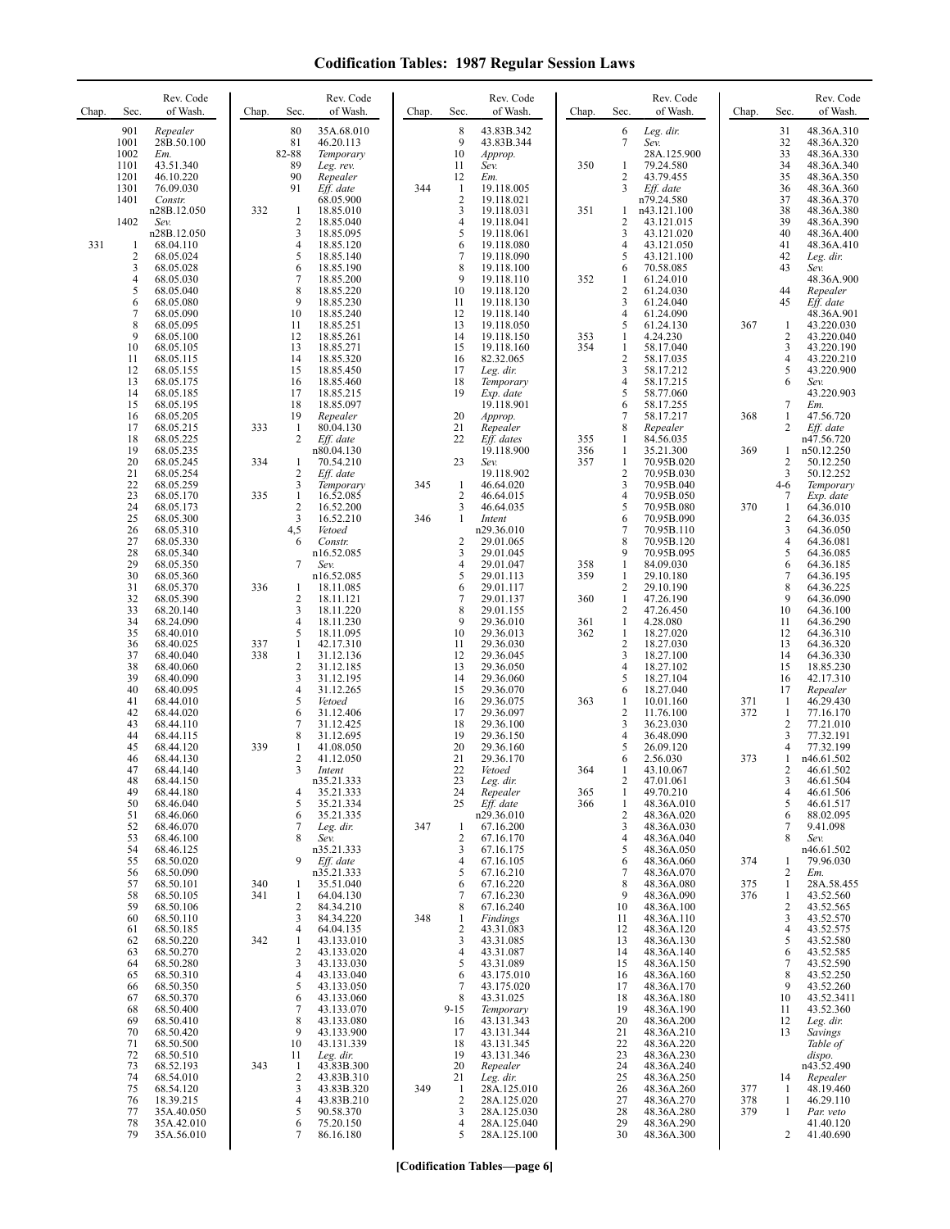| Chap. | Sec.                                        | Rev. Code<br>of Wash.                                                      | Chap.      | Sec.                                            | Rev. Code<br>of Wash.                                                         | Chap.      | Sec.                                     | Rev. Code<br>of Wash.                                                            | Chap.             | Sec.                                                                    | Rev. Code<br>of Wash.                                                            | Chap.             | Sec.                                    | Rev. Code<br>of Wash.                                                           |
|-------|---------------------------------------------|----------------------------------------------------------------------------|------------|-------------------------------------------------|-------------------------------------------------------------------------------|------------|------------------------------------------|----------------------------------------------------------------------------------|-------------------|-------------------------------------------------------------------------|----------------------------------------------------------------------------------|-------------------|-----------------------------------------|---------------------------------------------------------------------------------|
|       | 901<br>1001<br>1002<br>1101<br>1201         | Repealer<br>28B.50.100<br>Em.<br>43.51.340<br>46.10.220                    |            | 80<br>81<br>82-88<br>89<br>90                   | 35A.68.010<br>46.20.113<br>Temporary<br>Leg. rev.<br>Repealer                 |            | 8<br>9<br>10<br>11<br>12                 | 43.83B.342<br>43.83B.344<br>Approp.<br>Sev.<br>Em.                               | 350               | 6<br>$7\phantom{.0}$<br>1<br>$\overline{2}$                             | Leg. dir.<br>Sev.<br>28A.125.900<br>79.24.580<br>43.79.455                       |                   | 31<br>32<br>33<br>34<br>35              | 48.36A.310<br>48.36A.320<br>48.36A.330<br>48.36A.340<br>48.36A.350              |
|       | 1301<br>1401<br>1402                        | 76.09.030<br>Constr.<br>n28B.12.050<br>Sev.<br>n28B.12.050                 | 332        | 91<br>$\mathbf{1}$<br>2<br>3                    | Eff. date<br>68.05.900<br>18.85.010<br>18.85.040<br>18.85.095                 | 344        | 1<br>2<br>3<br>4<br>5                    | 19.118.005<br>19.118.021<br>19.118.031<br>19.118.041<br>19.118.061               | 351               | 3<br>1<br>$\overline{c}$<br>3                                           | Eff. date<br>n79.24.580<br>n43.121.100<br>43.121.015<br>43.121.020               |                   | 36<br>37<br>38<br>39<br>40              | 48.36A.360<br>48.36A.370<br>48.36A.380<br>48.36A.390<br>48.36A.400              |
| 331   | 1<br>$\sqrt{2}$<br>3<br>$\overline{4}$<br>5 | 68.04.110<br>68.05.024<br>68.05.028<br>68.05.030<br>68.05.040              |            | 4<br>5<br>6<br>7<br>8<br>9                      | 18.85.120<br>18.85.140<br>18.85.190<br>18.85.200<br>18.85.220                 |            | 6<br>7<br>8<br>9<br>10<br>11             | 19.118.080<br>19.118.090<br>19.118.100<br>19.118.110<br>19.118.120               | 352               | $\overline{4}$<br>5<br>6<br>1<br>$\overline{c}$<br>3                    | 43.121.050<br>43.121.100<br>70.58.085<br>61.24.010<br>61.24.030                  |                   | 41<br>42<br>43<br>44<br>45              | 48.36A.410<br>Leg. dir.<br>Sev.<br>48.36A.900<br>Repealer                       |
|       | 6<br>7<br>8<br>9<br>10<br>11                | 68.05.080<br>68.05.090<br>68.05.095<br>68.05.100<br>68.05.105<br>68.05.115 |            | 10<br>11<br>12<br>13<br>14                      | 18.85.230<br>18.85.240<br>18.85.251<br>18.85.261<br>18.85.271<br>18.85.320    |            | 12<br>13<br>14<br>15<br>16               | 19.118.130<br>19.118.140<br>19.118.050<br>19.118.150<br>19.118.160<br>82.32.065  | 353<br>354        | 4<br>5<br>1<br>1<br>$\sqrt{2}$                                          | 61.24.040<br>61.24.090<br>61.24.130<br>4.24.230<br>58.17.040<br>58.17.035        | 367               | 1<br>2<br>3<br>4                        | Eff. date<br>48.36A.901<br>43.220.030<br>43.220.040<br>43.220.190<br>43.220.210 |
|       | 12<br>13<br>14<br>15<br>16                  | 68.05.155<br>68.05.175<br>68.05.185<br>68.05.195<br>68.05.205              |            | 15<br>16<br>17<br>18<br>19                      | 18.85.450<br>18.85.460<br>18.85.215<br>18.85.097<br>Repealer                  |            | 17<br>18<br>19<br>20                     | Leg. dir.<br>Temporary<br>Exp. date<br>19.118.901<br>Approp.                     |                   | 3<br>$\overline{4}$<br>5<br>6<br>$\overline{7}$                         | 58.17.212<br>58.17.215<br>58.77.060<br>58.17.255<br>58.17.217                    | 368               | 5<br>6<br>7<br>1                        | 43.220.900<br>Sev.<br>43.220.903<br>Em.<br>47.56.720                            |
|       | 17<br>18<br>19<br>20<br>21                  | 68.05.215<br>68.05.225<br>68.05.235<br>68.05.245<br>68.05.254              | 333<br>334 | 1<br>2<br>1<br>2                                | 80.04.130<br>Eff. date<br>n80.04.130<br>70.54.210<br>Eff. date                |            | 21<br>22<br>23                           | Repealer<br>Eff. dates<br>19.118.900<br>Sev.<br>19.118.902                       | 355<br>356<br>357 | 8<br>1<br>1<br>$\mathbf{1}$<br>$\sqrt{2}$                               | Repealer<br>84.56.035<br>35.21.300<br>70.95B.020<br>70.95B.030                   | 369               | 2<br>1<br>2<br>3                        | Eff. date<br>n47.56.720<br>n50.12.250<br>50.12.250<br>50.12.252                 |
|       | 22<br>23<br>24<br>25<br>26                  | 68.05.259<br>68.05.170<br>68.05.173<br>68.05.300<br>68.05.310              | 335        | 3<br>$\mathbf{1}$<br>$\overline{2}$<br>3<br>4,5 | Temporary<br>16.52.085<br>16.52.200<br>16.52.210<br>Vetoed                    | 345<br>346 | $\mathbf{1}$<br>$\overline{c}$<br>3<br>1 | 46.64.020<br>46.64.015<br>46.64.035<br>Intent<br>n29.36.010                      |                   | $\mathfrak{Z}$<br>$\overline{4}$<br>5<br>6<br>$\overline{7}$            | 70.95B.040<br>70.95B.050<br>70.95B.080<br>70.95B.090<br>70.95B.110               | 370               | $4-6$<br>7<br>1<br>2<br>3               | Temporary<br>Exp. date<br>64.36.010<br>64.36.035<br>64.36.050                   |
|       | 27<br>28<br>29<br>30<br>31<br>32            | 68.05.330<br>68.05.340<br>68.05.350<br>68.05.360<br>68.05.370<br>68.05.390 | 336        | 6<br>7<br>1<br>$\overline{2}$                   | Constr.<br>n16.52.085<br>Sev.<br>n16.52.085<br>18.11.085<br>18.11.121         |            | 2<br>3<br>4<br>5<br>6<br>7               | 29.01.065<br>29.01.045<br>29.01.047<br>29.01.113<br>29.01.117<br>29.01.137       | 358<br>359<br>360 | 8<br>9<br>1<br>1<br>$\sqrt{2}$<br>$\mathbf{1}$                          | 70.95B.120<br>70.95B.095<br>84.09.030<br>29.10.180<br>29.10.190<br>47.26.190     |                   | 4<br>5<br>6<br>$\tau$<br>8<br>9         | 64.36.081<br>64.36.085<br>64.36.185<br>64.36.195<br>64.36.225<br>64.36.090      |
|       | 33<br>34<br>35<br>36<br>37                  | 68.20.140<br>68.24.090<br>68.40.010<br>68.40.025<br>68.40.040              | 337<br>338 | 3<br>4<br>5<br>$\mathbf{1}$<br>$\mathbf{1}$     | 18.11.220<br>18.11.230<br>18.11.095<br>42.17.310<br>31.12.136                 |            | 8<br>9<br>10<br>11<br>12                 | 29.01.155<br>29.36.010<br>29.36.013<br>29.36.030<br>29.36.045                    | 361<br>362        | $\overline{2}$<br>1<br>$\mathbf{1}$<br>$\overline{c}$<br>$\overline{3}$ | 47.26.450<br>4.28.080<br>18.27.020<br>18.27.030<br>18.27.100                     |                   | 10<br>11<br>12<br>13<br>14              | 64.36.100<br>64.36.290<br>64.36.310<br>64.36.320<br>64.36.330                   |
|       | 38<br>39<br>40<br>41<br>42                  | 68.40.060<br>68.40.090<br>68.40.095<br>68.44.010<br>68.44.020              |            | 2<br>3<br>4<br>5<br>6                           | 31.12.185<br>31.12.195<br>31.12.265<br>Vetoed<br>31.12.406                    |            | 13<br>14<br>15<br>16<br>17               | 29.36.050<br>29.36.060<br>29.36.070<br>29.36.075<br>29.36.097                    | 363               | $\overline{4}$<br>5<br>6<br>1<br>$\sqrt{2}$                             | 18.27.102<br>18.27.104<br>18.27.040<br>10.01.160<br>11.76.100                    | 371<br>372        | 15<br>16<br>17<br>1<br>$\mathbf{1}$     | 18.85.230<br>42.17.310<br>Repealer<br>46.29.430<br>77.16.170                    |
|       | 43<br>44<br>45<br>46<br>47                  | 68.44.110<br>68.44.115<br>68.44.120<br>68.44.130<br>68.44.140              | 339        | 7<br>8<br>$\mathbf{1}$<br>2<br>3                | 31.12.425<br>31.12.695<br>41.08.050<br>41.12.050<br>Intent                    |            | 18<br>19<br>20<br>21<br>22               | 29.36.100<br>29.36.150<br>29.36.160<br>29.36.170<br>Vetoed                       | 364               | 3<br>$\overline{4}$<br>5<br>6<br>1                                      | 36.23.030<br>36.48.090<br>26.09.120<br>2.56.030<br>43.10.067                     | 373               | $\overline{c}$<br>3<br>4<br>1<br>2      | 77.21.010<br>77.32.191<br>77.32.199<br>n46.61.502<br>46.61.502                  |
|       | 48<br>49<br>50<br>51<br>52<br>53            | 68.44.150<br>68.44.180<br>68.46.040<br>68.46.060<br>68.46.070<br>68.46.100 |            | 4<br>5<br>6<br>7<br>8                           | n35.21.333<br>35.21.333<br>35.21.334<br>35.21.335<br>Leg. dir.<br>Sev.        | 347        | 23<br>24<br>25<br>1<br>2                 | Leg. dir.<br>Repealer<br>$Eff$ . date<br>n29.36.010<br>67.16.200<br>67.16.170    | 365<br>366        | 2<br>$\mathbf{1}$<br>1<br>$\overline{2}$<br>3<br>$\overline{4}$         | 47.01.061<br>49.70.210<br>48.36A.010<br>48.36A.020<br>48.36A.030<br>48.36A.040   |                   | 3<br>4<br>5<br>6<br>7<br>8              | 46.61.504<br>46.61.506<br>46.61.517<br>88.02.095<br>9.41.098<br>Sev.            |
|       | 54<br>55<br>56<br>57<br>58                  | 68.46.125<br>68.50.020<br>68.50.090<br>68.50.101<br>68.50.105              | 340<br>341 | 9<br>1<br>$\mathbf{1}$                          | n35.21.333<br>Eff. date<br>n35.21.333<br>35.51.040<br>64.04.130               |            | 3<br>4<br>5<br>6<br>7                    | 67.16.175<br>67.16.105<br>67.16.210<br>67.16.220<br>67.16.230                    |                   | 5<br>6<br>$\overline{7}$<br>8<br>9                                      | 48.36A.050<br>48.36A.060<br>48.36A.070<br>48.36A.080<br>48.36A.090               | 374<br>375<br>376 | 1<br>2<br>$\mathbf{1}$<br>1             | n46.61.502<br>79.96.030<br>Em.<br>28A.58.455<br>43.52.560                       |
|       | 59<br>60<br>61<br>62<br>63<br>64            | 68.50.106<br>68.50.110<br>68.50.185<br>68.50.220<br>68.50.270<br>68.50.280 | 342        | $\overline{2}$<br>3<br>4<br>1<br>2<br>3         | 84.34.210<br>84.34.220<br>64.04.135<br>43.133.010<br>43.133.020<br>43.133.030 | 348        | 8<br>1<br>2<br>3<br>4<br>5               | 67.16.240<br><b>Findings</b><br>43.31.083<br>43.31.085<br>43.31.087<br>43.31.089 |                   | 10<br>11<br>12<br>13<br>14<br>15                                        | 48.36A.100<br>48.36A.110<br>48.36A.120<br>48.36A.130<br>48.36A.140<br>48.36A.150 |                   | $\overline{c}$<br>3<br>4<br>5<br>6<br>7 | 43.52.565<br>43.52.570<br>43.52.575<br>43.52.580<br>43.52.585                   |
|       | 65<br>66<br>67<br>68<br>69                  | 68.50.310<br>68.50.350<br>68.50.370<br>68.50.400<br>68.50.410              |            | 4<br>5<br>6<br>7<br>8                           | 43.133.040<br>43.133.050<br>43.133.060<br>43.133.070<br>43.133.080            |            | 6<br>7<br>8<br>$9 - 15$<br>16            | 43.175.010<br>43.175.020<br>43.31.025<br>Temporary<br>43.131.343                 |                   | 16<br>17<br>18<br>19<br>20                                              | 48.36A.160<br>48.36A.170<br>48.36A.180<br>48.36A.190<br>48.36A.200               |                   | 8<br>9<br>10<br>11<br>12                | 43.52.590<br>43.52.250<br>43.52.260<br>43.52.3411<br>43.52.360<br>Leg. dir.     |
|       | 70<br>71<br>72<br>73<br>74                  | 68.50.420<br>68.50.500<br>68.50.510<br>68.52.193<br>68.54.010              | 343        | 9<br>10<br>11<br>-1<br>2                        | 43.133.900<br>43.131.339<br>Leg. dir.<br>43.83B.300<br>43.83B.310             |            | 17<br>18<br>19<br>20<br>21               | 43.131.344<br>43.131.345<br>43.131.346<br>Repealer<br>Leg. dir.                  |                   | 21<br>22<br>23<br>24<br>25                                              | 48.36A.210<br>48.36A.220<br>48.36A.230<br>48.36A.240<br>48.36A.250               |                   | 13<br>14                                | Savings<br>Table of<br>dispo.<br>n43.52.490<br>Repealer                         |
|       | 75<br>76<br>77<br>78<br>79                  | 68.54.120<br>18.39.215<br>35A.40.050<br>35A.42.010<br>35A.56.010           |            | 3<br>4<br>5<br>6<br>7                           | 43.83B.320<br>43.83B.210<br>90.58.370<br>75.20.150<br>86.16.180               | 349        | $\mathbf{1}$<br>2<br>3<br>4<br>5         | 28A.125.010<br>28A.125.020<br>28A.125.030<br>28A.125.040<br>28A.125.100          |                   | 26<br>27<br>28<br>29<br>30                                              | 48.36A.260<br>48.36A.270<br>48.36A.280<br>48.36A.290<br>48.36A.300               | 377<br>378<br>379 | 1<br>1<br>1<br>2                        | 48.19.460<br>46.29.110<br>Par. veto<br>41.40.120<br>41.40.690                   |

**[Codification Tables—page 6]**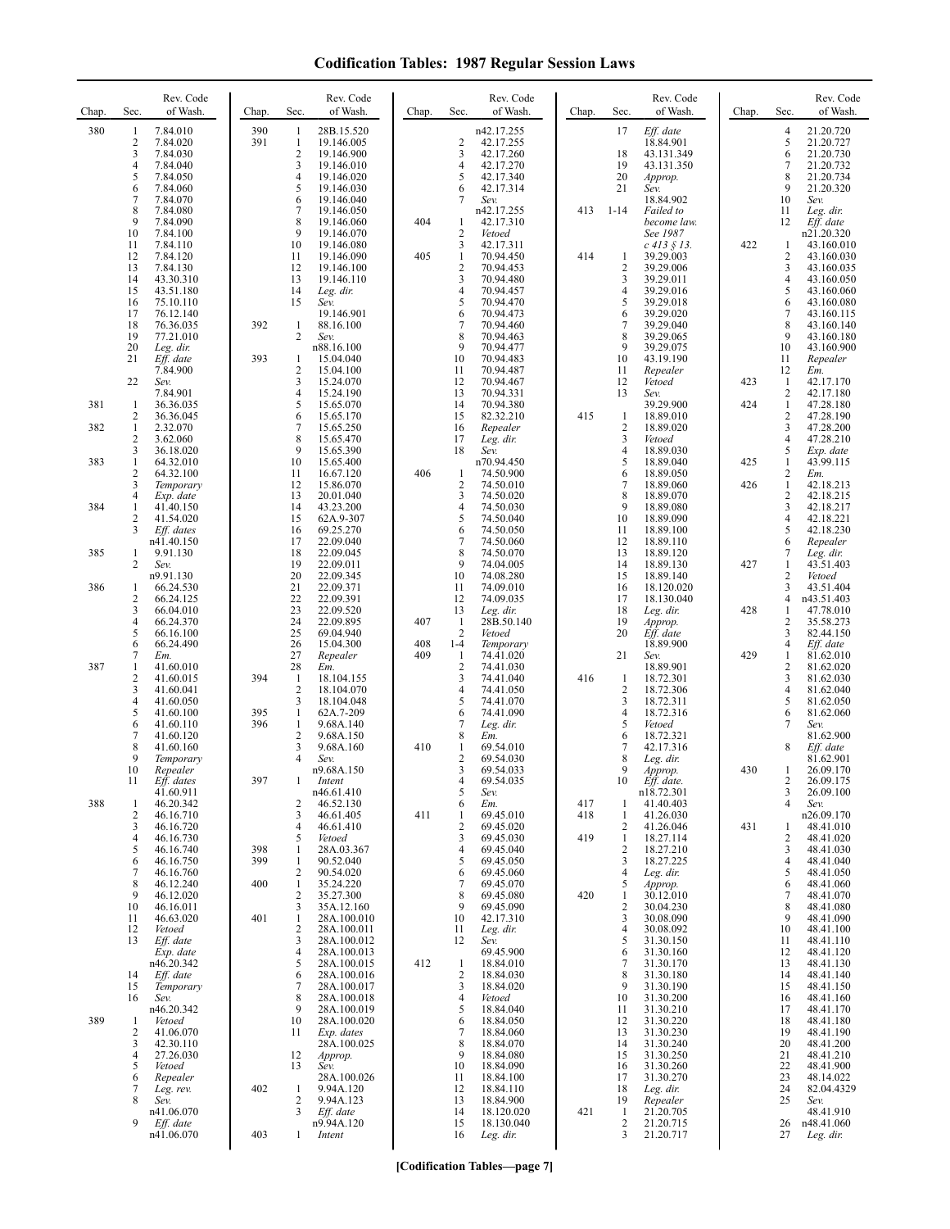| Chap.      | Sec.                                                                    | Rev. Code<br>of Wash.                                                                                                     | Chap.             | Sec.                                                                                       | Rev. Code<br>of Wash.                                                                                                               | Chap.      | Sec.                                                      | Rev. Code<br>of Wash.                                                                                                       | Chap.      | Sec.                                                                              | Rev. Code<br>of Wash.                                                                                                               | Chap.      | Sec.                                                     | Rev. Code<br>of Wash.                                                                                                                   |
|------------|-------------------------------------------------------------------------|---------------------------------------------------------------------------------------------------------------------------|-------------------|--------------------------------------------------------------------------------------------|-------------------------------------------------------------------------------------------------------------------------------------|------------|-----------------------------------------------------------|-----------------------------------------------------------------------------------------------------------------------------|------------|-----------------------------------------------------------------------------------|-------------------------------------------------------------------------------------------------------------------------------------|------------|----------------------------------------------------------|-----------------------------------------------------------------------------------------------------------------------------------------|
| 380        | 1<br>$\overline{\mathbf{c}}$<br>3<br>4<br>5<br>6<br>$\overline{7}$<br>8 | 7.84.010<br>7.84.020<br>7.84.030<br>7.84.040<br>7.84.050<br>7.84.060<br>7.84.070<br>7.84.080                              | 390<br>391        | 1<br>-1<br>$\sqrt{2}$<br>3<br>4<br>5<br>6<br>7                                             | 28B.15.520<br>19.146.005<br>19.146.900<br>19.146.010<br>19.146.020<br>19.146.030<br>19.146.040<br>19.146.050                        |            | 2<br>3<br>4<br>5<br>6<br>7                                | n42.17.255<br>42.17.255<br>42.17.260<br>42.17.270<br>42.17.340<br>42.17.314<br>Sev.<br>n42.17.255                           | 413        | 17<br>18<br>19<br>20<br>21<br>$1 - 14$                                            | Eff. date<br>18.84.901<br>43.131.349<br>43.131.350<br>Approp.<br>Sev.<br>18.84.902<br>Failed to                                     |            | $\overline{4}$<br>5<br>6<br>7<br>8<br>9<br>10<br>11      | 21.20.720<br>21.20.727<br>21.20.730<br>21.20.732<br>21.20.734<br>21.20.320<br>Sev.<br>Leg. dir.                                         |
|            | 9<br>10<br>11<br>12<br>13<br>14<br>15<br>16<br>17<br>18                 | 7.84.090<br>7.84.100<br>7.84.110<br>7.84.120<br>7.84.130<br>43.30.310<br>43.51.180<br>75.10.110<br>76.12.140<br>76.36.035 | 392               | 8<br>9<br>10<br>11<br>12<br>13<br>14<br>15<br>$\mathbf{1}$                                 | 19.146.060<br>19.146.070<br>19.146.080<br>19.146.090<br>19.146.100<br>19.146.110<br>Leg. dir.<br>Sev.<br>19.146.901<br>88.16.100    | 404<br>405 | 1<br>2<br>3<br>$\mathbf{1}$<br>2<br>3<br>4<br>5<br>6<br>7 | 42.17.310<br>Vetoed<br>42.17.311<br>70.94.450<br>70.94.453<br>70.94.480<br>70.94.457<br>70.94.470<br>70.94.473<br>70.94.460 | 414        | $\mathbf{1}$<br>$\overline{c}$<br>3<br>$\overline{4}$<br>5<br>6<br>$\overline{7}$ | become law.<br>See 1987<br>$c$ 413 § 13.<br>39.29.003<br>39.29.006<br>39.29.011<br>39.29.016<br>39.29.018<br>39.29.020<br>39.29.040 | 422        | 12<br>1<br>2<br>3<br>4<br>5<br>6<br>$\tau$<br>8          | Eff. date<br>n21.20.320<br>43.160.010<br>43.160.030<br>43.160.035<br>43.160.050<br>43.160.060<br>43.160.080<br>43.160.115<br>43.160.140 |
|            | 19<br>20<br>21<br>22                                                    | 77.21.010<br>Leg. dir.<br>Eff. date<br>7.84.900<br>Sev.                                                                   | 393               | $\overline{2}$<br>1<br>2<br>3                                                              | Sev.<br>n88.16.100<br>15.04.040<br>15.04.100<br>15.24.070                                                                           |            | 8<br>9<br>10<br>11<br>12                                  | 70.94.463<br>70.94.477<br>70.94.483<br>70.94.487<br>70.94.467                                                               |            | 8<br>9<br>10<br>11<br>12                                                          | 39.29.065<br>39.29.075<br>43.19.190<br>Repealer<br>Vetoed                                                                           | 423        | 9<br>10<br>11<br>12<br>1                                 | 43.160.180<br>43.160.900<br>Repealer<br>Em.<br>42.17.170                                                                                |
| 381<br>382 | 1<br>2<br>1<br>2                                                        | 7.84.901<br>36.36.035<br>36.36.045<br>2.32.070<br>3.62.060                                                                |                   | 4<br>5<br>6<br>7<br>8                                                                      | 15.24.190<br>15.65.070<br>15.65.170<br>15.65.250<br>15.65.470                                                                       |            | 13<br>14<br>15<br>16<br>17                                | 70.94.331<br>70.94.380<br>82.32.210<br>Repealer<br>Leg. dir.                                                                | 415        | 13<br>-1<br>$\overline{c}$<br>3                                                   | Sev.<br>39.29.900<br>18.89.010<br>18.89.020<br>Vetoed                                                                               | 424        | 2<br>$\mathbf{1}$<br>2<br>3<br>$\overline{\mathbf{4}}$   | 42.17.180<br>47.28.180<br>47.28.190<br>47.28.200<br>47.28.210                                                                           |
| 383        | 3<br>$\mathbf{1}$<br>$\overline{c}$<br>3                                | 36.18.020<br>64.32.010<br>64.32.100<br>Temporary                                                                          |                   | 9<br>10<br>11<br>12                                                                        | 15.65.390<br>15.65.400<br>16.67.120<br>15.86.070                                                                                    | 406        | 18<br>1<br>2                                              | Sev.<br>n70.94.450<br>74.50.900<br>74.50.010                                                                                |            | $\overline{4}$<br>5<br>6<br>$\overline{7}$                                        | 18.89.030<br>18.89.040<br>18.89.050<br>18.89.060                                                                                    | 425<br>426 | 5<br>$\mathbf{1}$<br>2<br>$\mathbf{1}$                   | Exp. date<br>43.99.115<br>Em.<br>42.18.213                                                                                              |
| 384        | 4<br>1<br>2<br>3                                                        | Exp. date<br>41.40.150<br>41.54.020<br>Eff. dates<br>n41.40.150                                                           |                   | 13<br>14<br>15<br>16<br>17                                                                 | 20.01.040<br>43.23.200<br>62A.9-307<br>69.25.270<br>22.09.040                                                                       |            | 3<br>4<br>5<br>6<br>7                                     | 74.50.020<br>74.50.030<br>74.50.040<br>74.50.050<br>74.50.060                                                               |            | 8<br>9<br>10<br>11<br>12                                                          | 18.89.070<br>18.89.080<br>18.89.090<br>18.89.100<br>18.89.110                                                                       |            | 2<br>$\mathfrak{Z}$<br>$\overline{\mathbf{4}}$<br>5<br>6 | 42.18.215<br>42.18.217<br>42.18.221<br>42.18.230                                                                                        |
| 385<br>386 | 1<br>2<br>1                                                             | 9.91.130<br>Sev.<br>n9.91.130<br>66.24.530                                                                                |                   | 18<br>19<br>20<br>21                                                                       | 22.09.045<br>22.09.011<br>22.09.345<br>22.09.371                                                                                    |            | 8<br>9<br>10<br>11                                        | 74.50.070<br>74.04.005<br>74.08.280<br>74.09.010                                                                            |            | 13<br>14<br>15<br>16                                                              | 18.89.120<br>18.89.130<br>18.89.140<br>18.120.020                                                                                   | 427        | 7<br>1<br>2<br>3                                         | Repealer<br>Leg. dir.<br>43.51.403<br>Vetoed<br>43.51.404                                                                               |
|            | $\overline{c}$<br>3<br>4<br>5                                           | 66.24.125<br>66.04.010<br>66.24.370<br>66.16.100                                                                          |                   | 22<br>23<br>24<br>25                                                                       | 22.09.391<br>22.09.520<br>22.09.895<br>69.04.940                                                                                    | 407        | 12<br>13<br>$\mathbf{1}$<br>$\overline{2}$                | 74.09.035<br>Leg. dir.<br>28B.50.140<br>Vetoed                                                                              |            | 17<br>18<br>19<br>20                                                              | 18.130.040<br>Leg. dir.<br>Approp.<br>Eff. date                                                                                     | 428        | 4<br>1<br>2<br>3                                         | n43.51.403<br>47.78.010<br>35.58.273<br>82.44.150                                                                                       |
| 387        | 6<br>7<br>1<br>$\overline{c}$<br>3                                      | 66.24.490<br>Em.<br>41.60.010<br>41.60.015<br>41.60.041                                                                   | 394               | 26<br>27<br>28<br>1<br>$\sqrt{2}$                                                          | 15.04.300<br>Repealer<br>Em.<br>18.104.155<br>18.104.070                                                                            | 408<br>409 | $1 - 4$<br>$\mathbf{1}$<br>$\overline{2}$<br>3<br>4       | Temporary<br>74.41.020<br>74.41.030<br>74.41.040<br>74.41.050                                                               | 416        | 21<br>$\mathbf{1}$<br>$\overline{2}$                                              | 18.89.900<br>Sev.<br>18.89.901<br>18.72.301<br>18.72.306                                                                            | 429        | 4<br>1<br>2<br>3<br>$\overline{4}$                       | Eff. date<br>81.62.010<br>81.62.020<br>81.62.030<br>81.62.040                                                                           |
|            | 4<br>5<br>6<br>7<br>8<br>9                                              | 41.60.050<br>41.60.100<br>41.60.110<br>41.60.120<br>41.60.160<br>Temporary                                                | 395<br>396        | 3<br>$\mathbf{1}$<br>$\mathbf{1}$<br>$\overline{2}$<br>3<br>$\overline{4}$                 | 18.104.048<br>62A.7-209<br>9.68A.140<br>9.68A.150<br>9.68A.160<br>Sev.<br>n9.68A.150                                                | 410        | 5<br>6<br>7<br>8<br>1<br>2                                | 74.41.070<br>74.41.090<br>Leg. dir.<br>Em.<br>69.54.010<br>69.54.030                                                        |            | 3<br>4<br>5<br>6<br>7<br>8<br>9                                                   | 18.72.311<br>18.72.316<br>Vetoed<br>18.72.321<br>42.17.316<br>Leg. dir.                                                             | 430        | 5<br>6<br>7<br>8                                         | 81.62.050<br>81.62.060<br>Sev.<br>81.62.900<br>Eff. date<br>81.62.901                                                                   |
| 388        | 10<br>11<br>1<br>$\overline{c}$<br>3                                    | Repealer<br>Eff. dates<br>41.60.911<br>46.20.342<br>46.16.710<br>46.16.720                                                | 397               | 2<br>3<br>4                                                                                | Intent<br>n46.61.410<br>46.52.130<br>46.61.405<br>46.61.410                                                                         | 411        | 3<br>5<br>6<br>1<br>2                                     | 69.54.033<br>69.54.035<br>Sev.<br>Em.<br>69.45.010<br>69.45.020                                                             | 417<br>418 | 10<br>-1<br>$\mathbf{1}$<br>2                                                     | Approp.<br>Eff. date.<br>n18.72.301<br>41.40.403<br>41.26.030<br>41.26.046                                                          | 431        | 1<br>2<br>3<br>$\overline{4}$<br>1                       | 26.09.170<br>26.09.175<br>26.09.100<br>Sev.<br>n26.09.170<br>48.41.010                                                                  |
|            | 4<br>5<br>6<br>7<br>8<br>9<br>10                                        | 46.16.730<br>46.16.740<br>46.16.750<br>46.16.760<br>46.12.240<br>46.12.020<br>46.16.011                                   | 398<br>399<br>400 | 5<br>$\mathbf{1}$<br>$\mathbf{1}$<br>$\overline{2}$<br>$\mathbf{1}$<br>$\overline{2}$<br>3 | Vetoed<br>28A.03.367<br>90.52.040<br>90.54.020<br>35.24.220<br>35.27.300<br>35A.12.160                                              |            | 3<br>4<br>5<br>6<br>7<br>8<br>9                           | 69.45.030<br>69.45.040<br>69.45.050<br>69.45.060<br>69.45.070<br>69.45.080<br>69.45.090                                     | 419<br>420 | $\mathbf{1}$<br>$\overline{2}$<br>3<br>4<br>5<br>-1<br>2                          | 18.27.114<br>18.27.210<br>18.27.225<br>Leg. dir.<br>Approp.<br>30.12.010<br>30.04.230                                               |            | $\overline{c}$<br>3<br>4<br>5<br>6<br>7<br>8             | 48.41.020<br>48.41.030<br>48.41.040<br>48.41.050<br>48.41.060<br>48.41.070<br>48.41.080                                                 |
|            | 11<br>12<br>13<br>14<br>15<br>16                                        | 46.63.020<br>Vetoed<br>Eff. date<br>Exp. date<br>n46.20.342<br>Eff. date<br>Temporary<br>Sev.<br>n46.20.342               | 401               | $\mathbf{1}$<br>2<br>3<br>$\overline{4}$<br>5<br>6<br>7<br>8<br>9                          | 28A.100.010<br>28A.100.011<br>28A.100.012<br>28A.100.013<br>28A.100.015<br>28A.100.016<br>28A.100.017<br>28A.100.018<br>28A.100.019 | 412        | 10<br>11<br>12<br>$\mathbf{1}$<br>2<br>3<br>4<br>5        | 42.17.310<br>Leg. dir.<br>Sev.<br>69.45.900<br>18.84.010<br>18.84.030<br>18.84.020<br>Vetoed<br>18.84.040                   |            | 3<br>$\overline{4}$<br>5<br>6<br>$\overline{7}$<br>8<br>9<br>10<br>11             | 30.08.090<br>30.08.092<br>31.30.150<br>31.30.160<br>31.30.170<br>31.30.180<br>31.30.190<br>31.30.200<br>31.30.210                   |            | 9<br>10<br>11<br>12<br>13<br>14<br>15<br>16<br>17        | 48.41.090<br>48.41.100<br>48.41.110<br>48.41.120<br>48.41.130<br>48.41.140<br>48.41.150<br>48.41.160<br>48.41.170                       |
| 389        | 1<br>2<br>3<br>4<br>5<br>6<br>7<br>8                                    | Vetoed<br>41.06.070<br>42.30.110<br>27.26.030<br>Vetoed<br>Repealer<br>Leg. rev.<br>Sev.                                  | 402               | 10<br>11<br>12<br>13<br>$\mathbf{1}$<br>2<br>3                                             | 28A.100.020<br>Exp. dates<br>28A.100.025<br>Approp.<br>Sev.<br>28A.100.026<br>9.94A.120<br>9.94A.123                                |            | 6<br>7<br>8<br>9<br>10<br>11<br>12<br>13                  | 18.84.050<br>18.84.060<br>18.84.070<br>18.84.080<br>18.84.090<br>18.84.100<br>18.84.110<br>18.84.900                        |            | 12<br>13<br>14<br>15<br>16<br>17<br>18<br>19                                      | 31.30.220<br>31.30.230<br>31.30.240<br>31.30.250<br>31.30.260<br>31.30.270<br>Leg. dir.<br>Repealer                                 |            | 18<br>19<br>20<br>21<br>22<br>23<br>24<br>25             | 48.41.180<br>48.41.190<br>48.41.200<br>48.41.210<br>48.41.900<br>48.14.022<br>82.04.4329<br>Sev.                                        |
|            | 9                                                                       | n41.06.070<br>Eff. date<br>n41.06.070                                                                                     | 403               | $\mathbf{1}$                                                                               | Eff. date<br>n9.94A.120<br>Intent                                                                                                   |            | 14<br>15<br>16                                            | 18.120.020<br>18.130.040<br>Leg. dir.                                                                                       | 421        | $\mathbf{1}$<br>$\sqrt{2}$<br>3                                                   | 21.20.705<br>21.20.715<br>21.20.717                                                                                                 |            | 26<br>27                                                 | 48.41.910<br>n48.41.060<br>Leg. dir.                                                                                                    |

**[Codification Tables—page 7]**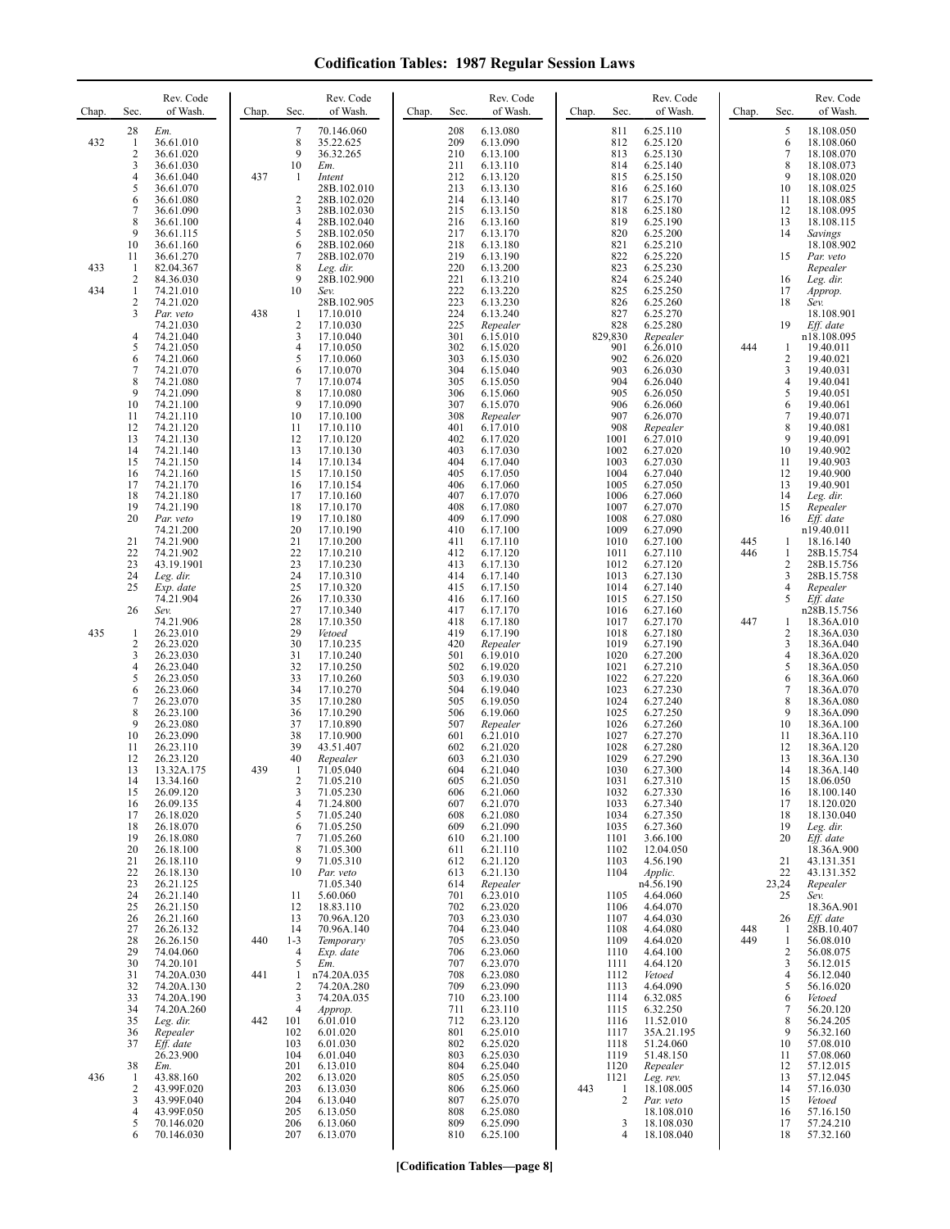| Chap.             | Rev. Code<br>of Wash.<br>Sec.                                                                                                                                                                                                                                                                                                                                                                                                                                                                                                                                                                                                                                                                                                                                                | Chap.                    | Rev. Code<br>of Wash.<br>Sec.                                                                                                                                                                                                                                                                                                                                                                                                                                                                                                                                                                                                                                                                                                                                                                                     | Rev. Code<br>of Wash.<br>Sec.<br>Chap.                                                                                                                                                                                                                                                                                                                                                                                                                                                                                                                                                                                                                                                                                                                                               | Rev. Code<br>of Wash.<br>Chap.<br>Sec.                                                                                                                                                                                                                                                                                                                                                                                                                                                                                                                                                                                                                                                                                                                                                                                 | Chap.             | Rev. Code<br>of Wash.<br>Sec.                                                                                                                                                                                                                                                                                                                                                                                                                                                                                                                                                                                                                                                                                                                                                    |
|-------------------|------------------------------------------------------------------------------------------------------------------------------------------------------------------------------------------------------------------------------------------------------------------------------------------------------------------------------------------------------------------------------------------------------------------------------------------------------------------------------------------------------------------------------------------------------------------------------------------------------------------------------------------------------------------------------------------------------------------------------------------------------------------------------|--------------------------|-------------------------------------------------------------------------------------------------------------------------------------------------------------------------------------------------------------------------------------------------------------------------------------------------------------------------------------------------------------------------------------------------------------------------------------------------------------------------------------------------------------------------------------------------------------------------------------------------------------------------------------------------------------------------------------------------------------------------------------------------------------------------------------------------------------------|--------------------------------------------------------------------------------------------------------------------------------------------------------------------------------------------------------------------------------------------------------------------------------------------------------------------------------------------------------------------------------------------------------------------------------------------------------------------------------------------------------------------------------------------------------------------------------------------------------------------------------------------------------------------------------------------------------------------------------------------------------------------------------------|------------------------------------------------------------------------------------------------------------------------------------------------------------------------------------------------------------------------------------------------------------------------------------------------------------------------------------------------------------------------------------------------------------------------------------------------------------------------------------------------------------------------------------------------------------------------------------------------------------------------------------------------------------------------------------------------------------------------------------------------------------------------------------------------------------------------|-------------------|----------------------------------------------------------------------------------------------------------------------------------------------------------------------------------------------------------------------------------------------------------------------------------------------------------------------------------------------------------------------------------------------------------------------------------------------------------------------------------------------------------------------------------------------------------------------------------------------------------------------------------------------------------------------------------------------------------------------------------------------------------------------------------|
| 432<br>433<br>434 | Em.<br>28<br>36.61.010<br>$\mathbf{1}$<br>2<br>36.61.020<br>3<br>36.61.030<br>4<br>36.61.040<br>5<br>36.61.070<br>6<br>36.61.080<br>7<br>36.61.090<br>$\,$ 8 $\,$<br>36.61.100<br>9<br>36.61.115<br>10<br>36.61.160<br>11<br>36.61.270<br>$\mathbf{1}$<br>82.04.367<br>$\overline{2}$<br>84.36.030<br>$\mathbf{1}$<br>74.21.010                                                                                                                                                                                                                                                                                                                                                                                                                                              | 437                      | 7<br>70.146.060<br>8<br>35.22.625<br>9<br>36.32.265<br>10<br>Em.<br>1<br>Intent<br>28B.102.010<br>$\overline{2}$<br>28B.102.020<br>3<br>28B.102.030<br>4<br>28B.102.040<br>5<br>28B.102.050<br>6<br>28B.102.060<br>7<br>28B.102.070<br>8<br>Leg. dir.<br>9<br>28B.102.900<br>10<br>Sev.                                                                                                                                                                                                                                                                                                                                                                                                                                                                                                                           | 208<br>6.13.080<br>209<br>6.13.090<br>210<br>6.13.100<br>211<br>6.13.110<br>212<br>6.13.120<br>213<br>6.13.130<br>214<br>6.13.140<br>215<br>6.13.150<br>216<br>6.13.160<br>217<br>6.13.170<br>218<br>6.13.180<br>219<br>6.13.190<br>220<br>6.13.200<br>221<br>6.13.210<br>222<br>6.13.220                                                                                                                                                                                                                                                                                                                                                                                                                                                                                            | 6.25.110<br>811<br>812<br>6.25.120<br>813<br>6.25.130<br>814<br>6.25.140<br>815<br>6.25.150<br>816<br>6.25.160<br>817<br>6.25.170<br>6.25.180<br>818<br>819<br>6.25.190<br>820<br>6.25.200<br>821<br>6.25.210<br>822<br>6.25.220<br>823<br>6.25.230<br>824<br>6.25.240<br>825<br>6.25.250                                                                                                                                                                                                                                                                                                                                                                                                                                                                                                                              |                   | 5<br>18.108.050<br>6<br>18.108.060<br>$\overline{7}$<br>18.108.070<br>8<br>18.108.073<br>9<br>18.108.020<br>10<br>18.108.025<br>11<br>18.108.085<br>12<br>18.108.095<br>13<br>18.108.115<br>14<br>Savings<br>18.108.902<br>15<br>Par. veto<br>Repealer<br>16<br>Leg. dir.<br>17<br>Approp.                                                                                                                                                                                                                                                                                                                                                                                                                                                                                       |
|                   | $\overline{2}$<br>74.21.020<br>3<br>Par. veto<br>74.21.030<br>4<br>74.21.040<br>5<br>74.21.050<br>6<br>74.21.060<br>$\overline{7}$<br>74.21.070<br>8<br>74.21.080<br>9<br>74.21.090<br>10<br>74.21.100<br>74.21.110<br>11<br>12<br>74.21.120<br>13<br>74.21.130<br>14<br>74.21.140<br>15<br>74.21.150<br>74.21.160<br>16<br>17<br>74.21.170<br>18<br>74.21.180<br>19<br>74.21.190<br>20<br>Par. veto<br>74.21.200<br>21<br>74.21.900<br>22<br>74.21.902<br>23<br>43.19.1901<br>24<br>Leg. dir.                                                                                                                                                                                                                                                                               | 438                      | 28B.102.905<br>17.10.010<br>1<br>$\overline{\mathbf{c}}$<br>17.10.030<br>3<br>17.10.040<br>4<br>17.10.050<br>5<br>17.10.060<br>17.10.070<br>6<br>7<br>17.10.074<br>8<br>17.10.080<br>9<br>17.10.090<br>10<br>17.10.100<br>11<br>17.10.110<br>12<br>17.10.120<br>13<br>17.10.130<br>14<br>17.10.134<br>15<br>17.10.150<br>16<br>17.10.154<br>17<br>17.10.160<br>18<br>17.10.170<br>19<br>17.10.180<br>20<br>17.10.190<br>21<br>17.10.200<br>22<br>17.10.210<br>23<br>17.10.230<br>24<br>17.10.310                                                                                                                                                                                                                                                                                                                  | 223<br>6.13.230<br>224<br>6.13.240<br>225<br>Repealer<br>301<br>6.15.010<br>302<br>6.15.020<br>303<br>6.15.030<br>304<br>6.15.040<br>305<br>6.15.050<br>306<br>6.15.060<br>307<br>6.15.070<br>308<br>Repealer<br>401<br>6.17.010<br>402<br>6.17.020<br>403<br>6.17.030<br>404<br>6.17.040<br>405<br>6.17.050<br>406<br>6.17.060<br>407<br>6.17.070<br>408<br>6.17.080<br>409<br>6.17.090<br>410<br>6.17.100<br>411<br>6.17.110<br>412<br>6.17.120<br>413<br>6.17.130<br>414<br>6.17.140                                                                                                                                                                                                                                                                                              | 826<br>6.25.260<br>827<br>6.25.270<br>828<br>6.25.280<br>829,830<br>Repealer<br>6.26.010<br>901<br>902<br>6.26.020<br>903<br>6.26.030<br>904<br>6.26.040<br>905<br>6.26.050<br>906<br>6.26.060<br>907<br>6.26.070<br>908<br>Repealer<br>6.27.010<br>1001<br>1002<br>6.27.020<br>1003<br>6.27.030<br>1004<br>6.27.040<br>1005<br>6.27.050<br>1006<br>6.27.060<br>1007<br>6.27.070<br>1008<br>6.27.080<br>1009<br>6.27.090<br>1010<br>6.27.100<br>1011<br>6.27.110<br>1012<br>6.27.120<br>1013<br>6.27.130                                                                                                                                                                                                                                                                                                               | 444<br>445<br>446 | 18<br>Sev.<br>18.108.901<br>19<br>Eff. date<br>n18.108.095<br>19.40.011<br>1<br>2<br>19.40.021<br>3<br>19.40.031<br>4<br>19.40.041<br>5<br>19.40.051<br>6<br>19.40.061<br>$\tau$<br>19.40.071<br>8<br>19.40.081<br>9<br>19.40.091<br>10<br>19.40.902<br>11<br>19.40.903<br>12<br>19.40.900<br>13<br>19.40.901<br>14<br>Leg. dir.<br>15<br>Repealer<br>Eff. date<br>16<br>n19.40.011<br>18.16.140<br>1<br>$\mathbf{1}$<br>28B.15.754<br>2<br>28B.15.756<br>3<br>28B.15.758                                                                                                                                                                                                                                                                                                        |
| 435               | 25<br>Exp. date<br>74.21.904<br>26<br>Sev.<br>74.21.906<br>26.23.010<br>-1<br>$\overline{2}$<br>26.23.020<br>3<br>26.23.030<br>4<br>26.23.040<br>5<br>26.23.050<br>6<br>26.23.060<br>7<br>26.23.070<br>8<br>26.23.100<br>9<br>26.23.080<br>10<br>26.23.090<br>11<br>26.23.110<br>12<br>26.23.120<br>13<br>13.32A.175<br>14<br>13.34.160<br>15<br>26.09.120<br>26.09.135<br>16<br>26.18.020<br>17<br>26.18.070<br>18<br>19<br>26.18.080<br>20<br>26.18.100<br>21<br>26.18.110<br>22<br>26.18.130<br>23<br>26.21.125<br>24<br>26.21.140<br>25<br>26.21.150<br>26<br>26.21.160<br>27<br>26.26.132<br>28<br>26.26.150<br>29<br>74.04.060<br>30<br>74.20.101<br>31<br>74.20A.030<br>32<br>74.20A.130<br>33<br>74.20A.190<br>34<br>74.20A.260<br>35<br>Leg. dir.<br>36<br>Repealer | 439<br>440<br>441<br>442 | 25<br>17.10.320<br>26<br>17.10.330<br>27<br>17.10.340<br>28<br>17.10.350<br>29<br>Vetoed<br>30<br>17.10.235<br>31<br>17.10.240<br>32<br>17.10.250<br>33<br>17.10.260<br>34<br>17.10.270<br>35<br>17.10.280<br>36<br>17.10.290<br>37<br>17.10.890<br>38<br>17.10.900<br>39<br>43.51.407<br>40<br>Repealer<br>71.05.040<br>1<br>2<br>71.05.210<br>3<br>71.05.230<br>71.24.800<br>4<br>5<br>71.05.240<br>71.05.250<br>6<br>$\overline{7}$<br>71.05.260<br>8<br>71.05.300<br>9<br>71.05.310<br>10<br>Par. veto<br>71.05.340<br>5.60.060<br>11<br>12<br>18.83.110<br>13<br>70.96A.120<br>14<br>70.96A.140<br>$1 - 3$<br>Temporary<br>$\overline{4}$<br>Exp. date<br>5<br>Em.<br>1<br>n74.20A.035<br>$\overline{c}$<br>74.20A.280<br>74.20A.035<br>3<br>$\overline{4}$<br>Approp.<br>101<br>6.01.010<br>102<br>6.01.020 | 415<br>6.17.150<br>416<br>6.17.160<br>417<br>6.17.170<br>418<br>6.17.180<br>419<br>6.17.190<br>420<br>Repealer<br>6.19.010<br>501<br>502<br>6.19.020<br>503<br>6.19.030<br>504<br>6.19.040<br>505<br>6.19.050<br>506<br>6.19.060<br>507<br>Repealer<br>601<br>6.21.010<br>602<br>6.21.020<br>603<br>6.21.030<br>604<br>6.21.040<br>605<br>6.21.050<br>606<br>6.21.060<br>6.21.070<br>607<br>6.21.080<br>608<br>609<br>6.21.090<br>6.21.100<br>610<br>6.21.110<br>611<br>6.21.120<br>612<br>613<br>6.21.130<br>614<br>Repealer<br>701<br>6.23.010<br>702<br>6.23.020<br>6.23.030<br>703<br>6.23.040<br>704<br>6.23.050<br>705<br>6.23.060<br>706<br>707<br>6.23.070<br>708<br>6.23.080<br>6.23.090<br>709<br>6.23.100<br>710<br>711<br>6.23.110<br>712<br>6.23.120<br>6.25.010<br>801 | 1014<br>6.27.140<br>1015<br>6.27.150<br>1016<br>6.27.160<br>1017<br>6.27.170<br>1018<br>6.27.180<br>1019<br>6.27.190<br>1020<br>6.27.200<br>1021<br>6.27.210<br>1022<br>6.27.220<br>1023<br>6.27.230<br>1024<br>6.27.240<br>1025<br>6.27.250<br>1026<br>6.27.260<br>1027<br>6.27.270<br>1028<br>6.27.280<br>1029<br>6.27.290<br>1030<br>6.27.300<br>1031<br>6.27.310<br>1032<br>6.27.330<br>1033<br>6.27.340<br>1034<br>6.27.350<br>6.27.360<br>1035<br>1101<br>3.66.100<br>12.04.050<br>1102<br>4.56.190<br>1103<br>Applic.<br>1104<br>n4.56.190<br>4.64.060<br>1105<br>4.64.070<br>1106<br>4.64.030<br>1107<br>4.64.080<br>1108<br>1109<br>4.64.020<br>4.64.100<br>1110<br>4.64.120<br>1111<br>1112<br>Vetoed<br>4.64.090<br>1113<br>6.32.085<br>1114<br>6.32.250<br>1115<br>1116<br>11.52.010<br>35A.21.195<br>1117 | 447<br>448<br>449 | 4<br>Repealer<br>5<br>Eff. date<br>n28B.15.756<br>18.36A.010<br>1<br>2<br>18.36A.030<br>3<br>18.36A.040<br>4<br>18.36A.020<br>5<br>18.36A.050<br>6<br>18.36A.060<br>$\tau$<br>18.36A.070<br>8<br>18.36A.080<br>9<br>18.36A.090<br>10<br>18.36A.100<br>11<br>18.36A.110<br>12<br>18.36A.120<br>13<br>18.36A.130<br>14<br>18.36A.140<br>15<br>18.06.050<br>16<br>18.100.140<br>17<br>18.120.020<br>18<br>18.130.040<br>19<br>Leg. dir.<br>20<br>Eff. date<br>18.36A.900<br>21<br>43.131.351<br>22<br>43.131.352<br>23,24<br>Repealer<br>25<br>Sev.<br>18.36A.901<br>26<br>Eff. date<br>28B.10.407<br>1<br>1<br>56.08.010<br>$\overline{c}$<br>56.08.075<br>3<br>56.12.015<br>4<br>56.12.040<br>5<br>56.16.020<br>6<br>Vetoed<br>7<br>56.20.120<br>8<br>56.24.205<br>9<br>56.32.160 |
| 436               | 37<br>Eff. date<br>26.23.900<br>38<br>Em.<br>43.88.160<br>-1<br>$\overline{2}$<br>43.99F.020<br>3<br>43.99F.040<br>4<br>43.99F.050<br>70.146.020<br>5<br>6<br>70.146.030                                                                                                                                                                                                                                                                                                                                                                                                                                                                                                                                                                                                     |                          | 6.01.030<br>103<br>6.01.040<br>104<br>201<br>6.13.010<br>202<br>6.13.020<br>203<br>6.13.030<br>204<br>6.13.040<br>205<br>6.13.050<br>206<br>6.13.060<br>207<br>6.13.070                                                                                                                                                                                                                                                                                                                                                                                                                                                                                                                                                                                                                                           | 802<br>6.25.020<br>6.25.030<br>803<br>804<br>6.25.040<br>6.25.050<br>805<br>806<br>6.25.060<br>6.25.070<br>807<br>808<br>6.25.080<br>6.25.090<br>809<br>810<br>6.25.100                                                                                                                                                                                                                                                                                                                                                                                                                                                                                                                                                                                                              | 51.24.060<br>1118<br>51.48.150<br>1119<br>1120<br>Repealer<br>1121<br>Leg. rev.<br>443<br>18.108.005<br>-1<br>2<br>Par. veto<br>18.108.010<br>3<br>18.108.030<br>4<br>18.108.040                                                                                                                                                                                                                                                                                                                                                                                                                                                                                                                                                                                                                                       |                   | 10<br>57.08.010<br>57.08.060<br>11<br>12<br>57.12.015<br>13<br>57.12.045<br>14<br>57.16.030<br>15<br>Vetoed<br>16<br>57.16.150<br>17<br>57.24.210<br>18<br>57.32.160                                                                                                                                                                                                                                                                                                                                                                                                                                                                                                                                                                                                             |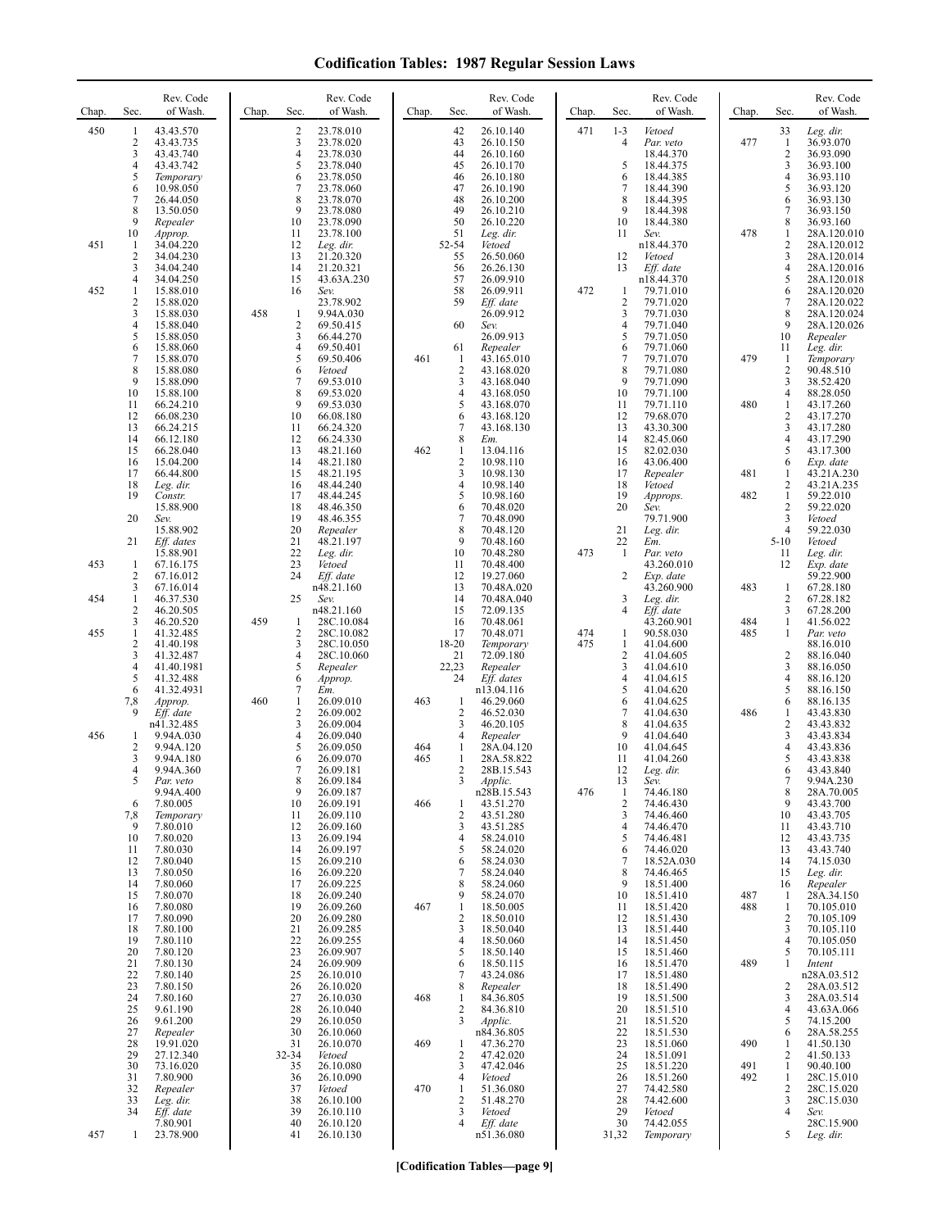| Chap.      | Sec.                                                    | Rev. Code<br>of Wash.                                                                   | Chap. | Sec.                                             | Rev. Code<br>of Wash.                                                                   | Chap.      | Sec.                                                                        | Rev. Code<br>of Wash.                                                                   | Chap.      | Sec.                                                     | Rev. Code<br>of Wash.                                                                    | Chap.             | Sec.                                                               | Rev. Code<br>of Wash.                                                                              |
|------------|---------------------------------------------------------|-----------------------------------------------------------------------------------------|-------|--------------------------------------------------|-----------------------------------------------------------------------------------------|------------|-----------------------------------------------------------------------------|-----------------------------------------------------------------------------------------|------------|----------------------------------------------------------|------------------------------------------------------------------------------------------|-------------------|--------------------------------------------------------------------|----------------------------------------------------------------------------------------------------|
| 450        | $\mathbf{1}$<br>$\sqrt{2}$<br>3<br>4<br>5<br>6          | 43.43.570<br>43.43.735<br>43.43.740<br>43.43.742<br>Temporary<br>10.98.050              |       | $\overline{\mathbf{c}}$<br>3<br>4<br>5<br>6<br>7 | 23.78.010<br>23.78.020<br>23.78.030<br>23.78.040<br>23.78.050<br>23.78.060              |            | 42<br>43<br>44<br>45<br>46<br>47                                            | 26.10.140<br>26.10.150<br>26.10.160<br>26.10.170<br>26.10.180<br>26.10.190              | 471        | $1 - 3$<br>4<br>5<br>6<br>$\tau$                         | Vetoed<br>Par. veto<br>18.44.370<br>18.44.375<br>18.44.385<br>18.44.390                  | 477               | 33<br>$\mathbf{1}$<br>$\overline{c}$<br>3<br>4<br>5                | Leg. dir.<br>36.93.070<br>36.93.090<br>36.93.100<br>36.93.110<br>36.93.120                         |
| 451        | 7<br>8<br>9<br>10<br>-1<br>2                            | 26.44.050<br>13.50.050<br>Repealer<br>Approp.<br>34.04.220<br>34.04.230                 |       | 8<br>9<br>10<br>11<br>12<br>13                   | 23.78.070<br>23.78.080<br>23.78.090<br>23.78.100<br>Leg. dir.<br>21.20.320              |            | 48<br>49<br>50<br>51<br>52-54<br>55                                         | 26.10.200<br>26.10.210<br>26.10.220<br>Leg. dir.<br>Vetoed<br>26.50.060                 |            | 8<br>9<br>10<br>11<br>12                                 | 18.44.395<br>18.44.398<br>18.44.380<br>Sev.<br>n18.44.370<br>Vetoed                      | 478               | 6<br>$\tau$<br>8<br>$\mathbf{1}$<br>2<br>3                         | 36.93.130<br>36.93.150<br>36.93.160<br>28A.120.010<br>28A.120.012<br>28A.120.014                   |
| 452        | 3<br>4<br>$\mathbf{1}$<br>$\overline{2}$<br>3<br>4<br>5 | 34.04.240<br>34.04.250<br>15.88.010<br>15.88.020<br>15.88.030<br>15.88.040<br>15.88.050 | 458   | 14<br>15<br>16<br>1<br>2<br>3                    | 21.20.321<br>43.63A.230<br>Sev.<br>23.78.902<br>9.94A.030<br>69.50.415<br>66.44.270     |            | 56<br>57<br>58<br>59<br>60                                                  | 26.26.130<br>26.09.910<br>26.09.911<br>Eff. date<br>26.09.912<br>Sev.<br>26.09.913      | 472        | 13<br>1<br>$\overline{c}$<br>3<br>$\overline{4}$<br>5    | Eff. date<br>n18.44.370<br>79.71.010<br>79.71.020<br>79.71.030<br>79.71.040<br>79.71.050 |                   | $\overline{4}$<br>5<br>6<br>$\overline{7}$<br>8<br>9<br>10         | 28A.120.016<br>28A.120.018<br>28A.120.020<br>28A.120.022<br>28A.120.024<br>28A.120.026<br>Repealer |
|            | 6<br>7<br>$\,$ 8 $\,$<br>9<br>10<br>11                  | 15.88.060<br>15.88.070<br>15.88.080<br>15.88.090<br>15.88.100<br>66.24.210              |       | $\overline{4}$<br>5<br>6<br>7<br>8<br>9          | 69.50.401<br>69.50.406<br>Vetoed<br>69.53.010<br>69.53.020<br>69.53.030                 | 461        | 61<br>-1<br>$\sqrt{2}$<br>3<br>$\overline{4}$<br>5                          | Repealer<br>43.165.010<br>43.168.020<br>43.168.040<br>43.168.050<br>43.168.070          |            | 6<br>$\tau$<br>8<br>9<br>10<br>11                        | 79.71.060<br>79.71.070<br>79.71.080<br>79.71.090<br>79.71.100<br>79.71.110               | 479<br>480        | 11<br>1<br>$\boldsymbol{2}$<br>3<br>$\overline{4}$<br>$\mathbf{1}$ | Leg. dir.<br>Temporary<br>90.48.510<br>38.52.420<br>88.28.050<br>43.17.260                         |
|            | 12<br>13<br>14<br>15<br>16<br>17                        | 66.08.230<br>66.24.215<br>66.12.180<br>66.28.040<br>15.04.200<br>66.44.800              |       | 10<br>11<br>12<br>13<br>14<br>15                 | 66.08.180<br>66.24.320<br>66.24.330<br>48.21.160<br>48.21.180<br>48.21.195              | 462        | 6<br>7<br>8<br>1<br>$\overline{\mathbf{c}}$<br>$\overline{\mathbf{3}}$<br>4 | 43.168.120<br>43.168.130<br>Em.<br>13.04.116<br>10.98.110<br>10.98.130                  |            | 12<br>13<br>14<br>15<br>16<br>17                         | 79.68.070<br>43.30.300<br>82.45.060<br>82.02.030<br>43.06.400<br>Repealer                | 481               | $\mathbf{2}$<br>3<br>4<br>5<br>6<br>1<br>$\mathbf{2}$              | 43.17.270<br>43.17.280<br>43.17.290<br>43.17.300<br>Exp. date<br>43.21A.230                        |
|            | 18<br>19<br>20<br>21                                    | Leg. dir.<br>Constr.<br>15.88.900<br>Sev.<br>15.88.902<br>Eff. dates<br>15.88.901       |       | 16<br>17<br>18<br>19<br>20<br>21<br>22           | 48.44.240<br>48.44.245<br>48.46.350<br>48.46.355<br>Repealer<br>48.21.197<br>Leg. dir.  |            | 5<br>6<br>$\tau$<br>8<br>9<br>10                                            | 10.98.140<br>10.98.160<br>70.48.020<br>70.48.090<br>70.48.120<br>70.48.160<br>70.48.280 | 473        | 18<br>19<br>20<br>21<br>22<br>-1                         | Vetoed<br>Approps.<br>Sev.<br>79.71.900<br>Leg. dir.<br>Em.<br>Par. veto                 | 482               | $\mathbf{1}$<br>$\mathbf{2}$<br>3<br>4<br>$5 - 10$<br>11           | 43.21A.235<br>59.22.010<br>59.22.020<br>Vetoed<br>59.22.030<br>Vetoed<br>Leg. dir.                 |
| 453<br>454 | -1<br>$\overline{c}$<br>3<br>$\mathbf{1}$<br>2<br>3     | 67.16.175<br>67.16.012<br>67.16.014<br>46.37.530<br>46.20.505                           | 459   | 23<br>24<br>25<br>-1                             | Vetoed<br>Eff. date<br>n48.21.160<br>Sev.<br>n48.21.160                                 |            | 11<br>12<br>13<br>14<br>15<br>16                                            | 70.48.400<br>19.27.060<br>70.48A.020<br>70.48A.040<br>72.09.135<br>70.48.061            |            | $\overline{c}$<br>3<br>4                                 | 43.260.010<br>Exp. date<br>43.260.900<br>Leg. dir.<br>Eff. date                          | 483<br>484        | 12<br>1<br>$\sqrt{2}$<br>3<br>$\mathbf{1}$                         | Exp. date<br>59.22.900<br>67.28.180<br>67.28.182<br>67.28.200<br>41.56.022                         |
| 455        | $\mathbf{1}$<br>2<br>3<br>4<br>5                        | 46.20.520<br>41.32.485<br>41.40.198<br>41.32.487<br>41.40.1981<br>41.32.488             |       | 2<br>3<br>4<br>5<br>6                            | 28C.10.084<br>28C.10.082<br>28C.10.050<br>28C.10.060<br>Repealer<br>Approp.             |            | 17<br>18-20<br>21<br>22,23<br>24                                            | 70.48.071<br>Temporary<br>72.09.180<br>Repealer<br>Eff. dates                           | 474<br>475 | 1<br>1<br>$\overline{\mathbf{c}}$<br>3<br>$\overline{4}$ | 43.260.901<br>90.58.030<br>41.04.600<br>41.04.605<br>41.04.610<br>41.04.615              | 485               | $\mathbf{1}$<br>2<br>3<br>4                                        | Par. veto<br>88.16.010<br>88.16.040<br>88.16.050<br>88.16.120                                      |
| 456        | 6<br>7,8<br>9<br>-1<br>$\overline{2}$                   | 41.32.4931<br>Approp.<br>Eff. date<br>n41.32.485<br>9.94A.030<br>9.94A.120              | 460   | 7<br>$\mathbf{1}$<br>2<br>3<br>4<br>5            | Em.<br>26.09.010<br>26.09.002<br>26.09.004<br>26.09.040<br>26.09.050                    | 463<br>464 | -1<br>$\overline{c}$<br>3<br>4<br>1                                         | n13.04.116<br>46.29.060<br>46.52.030<br>46.20.105<br>Repealer<br>28A.04.120             |            | 5<br>6<br>7<br>8<br>9<br>10                              | 41.04.620<br>41.04.625<br>41.04.630<br>41.04.635<br>41.04.640<br>41.04.645               | 486               | 5<br>6<br>1<br>$\mathbf{2}$<br>3<br>4                              | 88.16.150<br>88.16.135<br>43.43.830<br>43.43.832<br>43.43.834<br>43.43.836                         |
|            | 3<br>4<br>$\mathcal{L}$<br>6<br>7,8                     | 9.94A.180<br>9.94A.360<br>Par. veto<br>9.94A.400<br>7.80.005<br>Temporary               |       | 6<br>7<br>8<br>9<br>10<br>11                     | 26.09.070<br>26.09.181<br>26.09.184<br>26.09.187<br>26.09.191<br>26.09.110              | 465<br>466 | $\mathbf{1}$<br>2<br>3<br>-1<br>2<br>$\mathfrak{Z}$                         | 28A.58.822<br>28B.15.543<br>Applic.<br>n28B.15.543<br>43.51.270<br>43.51.280            | 476        | 11<br>12<br>13<br>1<br>$\overline{c}$<br>3               | 41.04.260<br>Leg. dir.<br>Sev.<br>74.46.180<br>74.46.430<br>74.46.460                    |                   | 5<br>6<br>8<br>9<br>10                                             | 43.43.838<br>43.43.840<br>9.94A.230<br>28A.70.005<br>43.43.700<br>43.43.705                        |
|            | 9<br>10<br>11<br>12<br>13<br>14<br>15                   | 7.80.010<br>7.80.020<br>7.80.030<br>7.80.040<br>7.80.050<br>7.80.060<br>7.80.070        |       | 12<br>13<br>14<br>15<br>16<br>17<br>18           | 26.09.160<br>26.09.194<br>26.09.197<br>26.09.210<br>26.09.220<br>26.09.225<br>26.09.240 |            | 4<br>5<br>6<br>7<br>8<br>9                                                  | 43.51.285<br>58.24.010<br>58.24.020<br>58.24.030<br>58.24.040<br>58.24.060<br>58.24.070 |            | 4<br>5<br>6<br>7<br>8<br>9<br>10                         | 74.46.470<br>74.46.481<br>74.46.020<br>18.52A.030<br>74.46.465<br>18.51.400<br>18.51.410 | 487               | 11<br>12<br>13<br>14<br>15<br>16<br>1                              | 43.43.710<br>43.43.735<br>43.43.740<br>74.15.030<br>Leg. dir.<br>Repealer<br>28A.34.150            |
|            | 16<br>17<br>18<br>19<br>20<br>21                        | 7.80.080<br>7.80.090<br>7.80.100<br>7.80.110<br>7.80.120<br>7.80.130                    |       | 19<br>20<br>21<br>22<br>23<br>24                 | 26.09.260<br>26.09.280<br>26.09.285<br>26.09.255<br>26.09.907<br>26.09.909              | 467        | $\mathbf{1}$<br>$\overline{2}$<br>3<br>$\overline{4}$<br>5<br>6             | 18.50.005<br>18.50.010<br>18.50.040<br>18.50.060<br>18.50.140<br>18.50.115              |            | 11<br>12<br>13<br>14<br>15<br>16                         | 18.51.420<br>18.51.430<br>18.51.440<br>18.51.450<br>18.51.460<br>18.51.470               | 488<br>489        | $\mathbf{1}$<br>2<br>3<br>4<br>5<br>$\mathbf{1}$                   | 70.105.010<br>70.105.109<br>70.105.110<br>70.105.050<br>70.105.111<br>Intent                       |
|            | 22<br>23<br>24<br>25<br>26<br>27                        | 7.80.140<br>7.80.150<br>7.80.160<br>9.61.190<br>9.61.200<br>Repealer                    |       | 25<br>26<br>27<br>28<br>29<br>30                 | 26.10.010<br>26.10.020<br>26.10.030<br>26.10.040<br>26.10.050<br>26.10.060              | 468        | 7<br>$\,$ 8 $\,$<br>-1<br>2<br>3                                            | 43.24.086<br>Repealer<br>84.36.805<br>84.36.810<br>Applic.<br>n84.36.805                |            | 17<br>18<br>19<br>20<br>21<br>22                         | 18.51.480<br>18.51.490<br>18.51.500<br>18.51.510<br>18.51.520<br>18.51.530               |                   | 2<br>3<br>$\overline{4}$<br>5<br>6                                 | n28A.03.512<br>28A.03.512<br>28A.03.514<br>43.63A.066<br>74.15.200<br>28A.58.255                   |
|            | 28<br>29<br>30<br>31<br>32<br>33                        | 19.91.020<br>27.12.340<br>73.16.020<br>7.80.900<br>Repealer<br>Leg. dir.                |       | 31<br>32-34<br>35<br>36<br>37<br>38              | 26.10.070<br>Vetoed<br>26.10.080<br>26.10.090<br>Vetoed<br>26.10.100                    | 469<br>470 | 1<br>2<br>3<br>4<br>$\mathbf{1}$<br>$\overline{2}$                          | 47.36.270<br>47.42.020<br>47.42.046<br>Vetoed<br>51.36.080<br>51.48.270                 |            | 23<br>24<br>25<br>26<br>27<br>28                         | 18.51.060<br>18.51.091<br>18.51.220<br>18.51.260<br>74.42.580<br>74.42.600               | 490<br>491<br>492 | 1<br>$\overline{c}$<br>1<br>1<br>$\overline{c}$<br>3               | 41.50.130<br>41.50.133<br>90.40.100<br>28C.15.010<br>28C.15.020<br>28C.15.030                      |
| 457        | 34<br>-1                                                | Eff. date<br>7.80.901<br>23.78.900                                                      |       | 39<br>40<br>41                                   | 26.10.110<br>26.10.120<br>26.10.130                                                     |            | 3<br>4                                                                      | Vetoed<br>Eff. date<br>n51.36.080                                                       |            | 29<br>30<br>31,32                                        | Vetoed<br>74.42.055<br>Temporary                                                         |                   | $\overline{4}$<br>5                                                | Sev.<br>28C.15.900<br>Leg. dir.                                                                    |

**[Codification Tables—page 9]**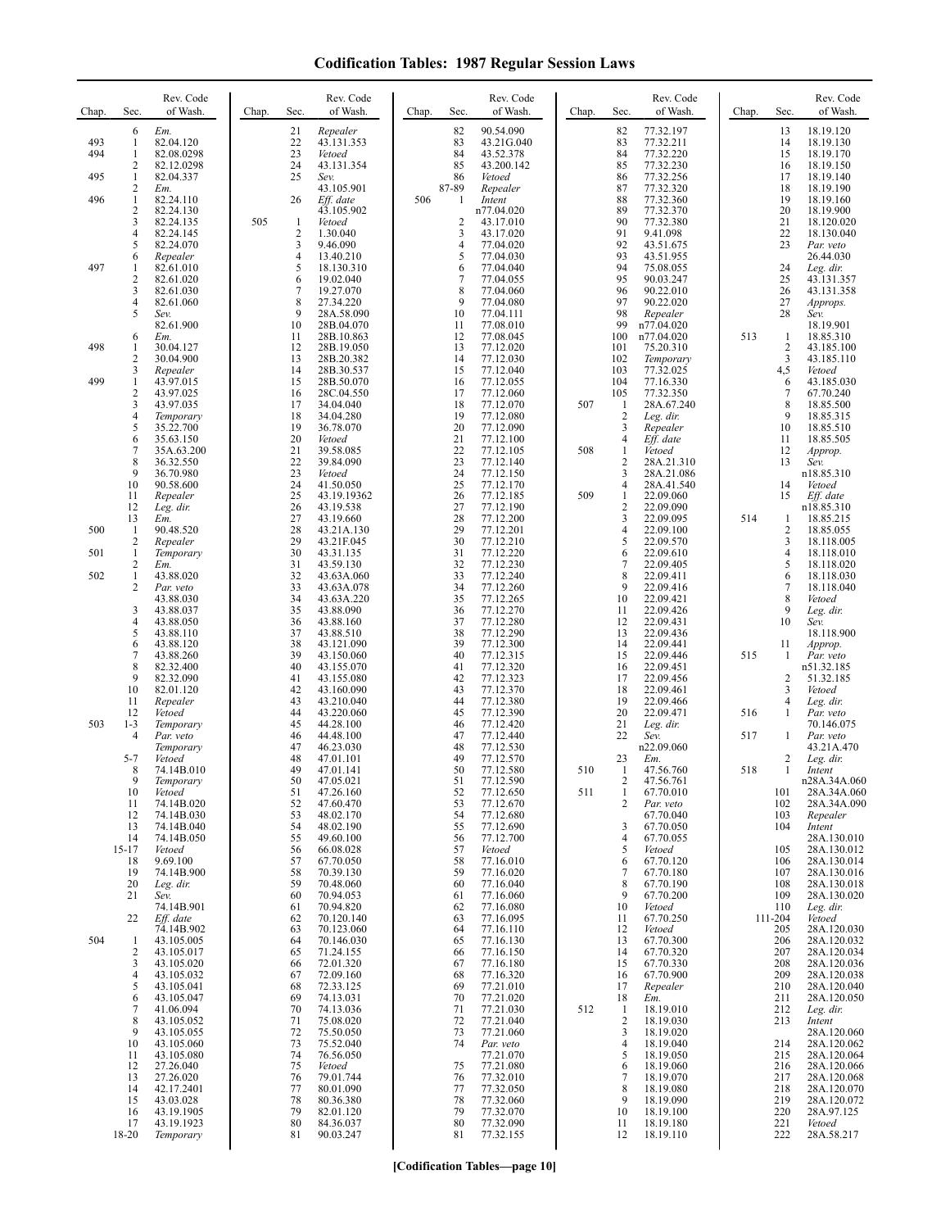| Chap.             | Sec.                             | Rev. Code<br>of Wash.                                                       | Chap. | Sec.                                 | Rev. Code<br>of Wash.                                                     | Chap. | Sec.                               | Rev. Code<br>of Wash.                                                      | Chap.      | Sec.                                               | Rev. Code<br>of Wash.                                                         | Chap. | Sec.                            | Rev. Code<br>of Wash.                                                    |
|-------------------|----------------------------------|-----------------------------------------------------------------------------|-------|--------------------------------------|---------------------------------------------------------------------------|-------|------------------------------------|----------------------------------------------------------------------------|------------|----------------------------------------------------|-------------------------------------------------------------------------------|-------|---------------------------------|--------------------------------------------------------------------------|
| 493<br>494<br>495 | 6<br>1<br>1<br>2<br>$\mathbf{1}$ | Em.<br>82.04.120<br>82.08.0298<br>82.12.0298<br>82.04.337                   |       | 21<br>22<br>23<br>24<br>25           | Repealer<br>43.131.353<br>Vetoed<br>43.131.354<br>Sev.                    |       | 82<br>83<br>84<br>85<br>86         | 90.54.090<br>43.21G.040<br>43.52.378<br>43.200.142<br>Vetoed               |            | 82<br>83<br>84<br>85<br>86                         | 77.32.197<br>77.32.211<br>77.32.220<br>77.32.230<br>77.32.256                 |       | 13<br>14<br>15<br>16<br>17      | 18.19.120<br>18.19.130<br>18.19.170<br>18.19.150<br>18.19.140            |
| 496               | 2<br>$\mathbf{1}$<br>2<br>3<br>4 | Em.<br>82.24.110<br>82.24.130<br>82.24.135<br>82.24.145                     | 505   | 26<br>-1<br>$\overline{\mathbf{c}}$  | 43.105.901<br>Eff. date<br>43.105.902<br>Vetoed<br>1.30.040               | 506   | 87-89<br>-1<br>$\overline{2}$<br>3 | Repealer<br>Intent<br>n77.04.020<br>43.17.010<br>43.17.020                 |            | 87<br>88<br>89<br>90<br>91                         | 77.32.320<br>77.32.360<br>77.32.370<br>77.32.380<br>9.41.098                  |       | 18<br>19<br>20<br>21<br>22      | 18.19.190<br>18.19.160<br>18.19.900<br>18.120.020<br>18.130.040          |
| 497               | 5<br>6<br>1<br>2                 | 82.24.070<br>Repealer<br>82.61.010<br>82.61.020                             |       | 3<br>4<br>5<br>6                     | 9.46.090<br>13.40.210<br>18.130.310<br>19.02.040                          |       | $\overline{4}$<br>5<br>6<br>$\tau$ | 77.04.020<br>77.04.030<br>77.04.040<br>77.04.055                           |            | 92<br>93<br>94<br>95                               | 43.51.675<br>43.51.955<br>75.08.055<br>90.03.247                              |       | 23<br>24<br>25                  | Par. veto<br>26.44.030<br>Leg. dir.<br>43.131.357                        |
|                   | 3<br>4<br>5<br>6                 | 82.61.030<br>82.61.060<br>Sev.<br>82.61.900<br>Em.                          |       | $\overline{7}$<br>8<br>9<br>10<br>11 | 19.27.070<br>27.34.220<br>28A.58.090<br>28B.04.070<br>28B.10.863          |       | 8<br>9<br>10<br>11<br>12           | 77.04.060<br>77.04.080<br>77.04.111<br>77.08.010<br>77.08.045              |            | 96<br>97<br>98<br>99<br>100                        | 90.22.010<br>90.22.020<br>Repealer<br>n77.04.020<br>n77.04.020                | 513   | 26<br>27<br>28<br>-1            | 43.131.358<br>Approps.<br>Sev.<br>18.19.901<br>18.85.310                 |
| 498<br>499        | 1<br>2<br>3<br>1                 | 30.04.127<br>30.04.900<br>Repealer<br>43.97.015                             |       | 12<br>13<br>14<br>15                 | 28B.19.050<br>28B.20.382<br>28B.30.537<br>28B.50.070                      |       | 13<br>14<br>15<br>16               | 77.12.020<br>77.12.030<br>77.12.040<br>77.12.055                           |            | 101<br>102<br>103<br>104                           | 75.20.310<br>Temporary<br>77.32.025<br>77.16.330                              |       | $\overline{c}$<br>3<br>4,5<br>6 | 43.185.100<br>43.185.110<br>Vetoed<br>43.185.030                         |
|                   | 2<br>3<br>4<br>5<br>6<br>7       | 43.97.025<br>43.97.035<br>Temporary<br>35.22.700<br>35.63.150<br>35A.63.200 |       | 16<br>17<br>18<br>19<br>20<br>21     | 28C.04.550<br>34.04.040<br>34.04.280<br>36.78.070<br>Vetoed<br>39.58.085  |       | 17<br>18<br>19<br>20<br>21<br>22   | 77.12.060<br>77.12.070<br>77.12.080<br>77.12.090<br>77.12.100<br>77.12.105 | 507<br>508 | 105<br>-1<br>$\overline{2}$<br>3<br>4<br>1         | 77.32.350<br>28A.67.240<br>Leg. dir.<br>Repealer<br>Eff. date<br>Vetoed       |       | 7<br>8<br>9<br>10<br>11<br>12   | 67.70.240<br>18.85.500<br>18.85.315<br>18.85.510<br>18.85.505<br>Approp. |
|                   | 8<br>9<br>10<br>11<br>12<br>13   | 36.32.550<br>36.70.980<br>90.58.600<br>Repealer<br>Leg. dir.<br>Em.         |       | 22<br>23<br>24<br>25<br>26<br>27     | 39.84.090<br>Vetoed<br>41.50.050<br>43.19.19362<br>43.19.538<br>43.19.660 |       | 23<br>24<br>25<br>26<br>27<br>28   | 77.12.140<br>77.12.150<br>77.12.170<br>77.12.185<br>77.12.190<br>77.12.200 | 509        | 2<br>3<br>4<br>$\mathbf{1}$<br>$\overline{2}$<br>3 | 28A.21.310<br>28A.21.086<br>28A.41.540<br>22.09.060<br>22.09.090<br>22.09.095 | 514   | 13<br>14<br>15<br>-1            | Sev.<br>n18.85.310<br>Vetoed<br>Eff. date<br>n18.85.310<br>18.85.215     |
| 500               | -1<br>2                          | 90.48.520<br>Repealer                                                       |       | 28<br>29                             | 43.21A.130<br>43.21F.045                                                  |       | 29<br>30                           | 77.12.201<br>77.12.210                                                     |            | 4<br>5                                             | 22.09.100<br>22.09.570                                                        |       | $\overline{2}$<br>3             | 18.85.055<br>18.118.005                                                  |
| 501               | -1<br>2                          | Temporary<br>Em.                                                            |       | 30<br>31                             | 43.31.135<br>43.59.130                                                    |       | 31<br>32                           | 77.12.220<br>77.12.230                                                     |            | 6<br>7                                             | 22.09.610<br>22.09.405                                                        |       | 4<br>5                          | 18.118.010<br>18.118.020                                                 |
| 502               | $\mathbf{1}$<br>2                | 43.88.020<br>Par. veto                                                      |       | 32<br>33<br>34                       | 43.63A.060<br>43.63A.078                                                  |       | 33<br>34<br>35                     | 77.12.240<br>77.12.260                                                     |            | 8<br>9<br>10                                       | 22.09.411<br>22.09.416                                                        |       | 6<br>7<br>8                     | 18.118.030<br>18.118.040                                                 |
|                   | 3<br>4                           | 43.88.030<br>43.88.037<br>43.88.050                                         |       | 35<br>36                             | 43.63A.220<br>43.88.090<br>43.88.160                                      |       | 36<br>37                           | 77.12.265<br>77.12.270<br>77.12.280                                        |            | 11<br>12                                           | 22.09.421<br>22.09.426<br>22.09.431                                           |       | 9<br>10                         | Vetoed<br>Leg. dir.<br>Sev.                                              |
|                   | 5<br>6                           | 43.88.110<br>43.88.120                                                      |       | 37<br>38                             | 43.88.510<br>43.121.090                                                   |       | 38<br>39                           | 77.12.290<br>77.12.300                                                     |            | 13<br>14                                           | 22.09.436<br>22.09.441                                                        |       | 11                              | 18.118.900<br>Approp.                                                    |
|                   | 7<br>8                           | 43.88.260<br>82.32.400                                                      |       | 39<br>40                             | 43.150.060<br>43.155.070                                                  |       | 40<br>41                           | 77.12.315<br>77.12.320                                                     |            | 15<br>16                                           | 22.09.446<br>22.09.451                                                        | 515   | $\mathbf{1}$                    | Par. veto<br>n51.32.185                                                  |
|                   | 9<br>10                          | 82.32.090<br>82.01.120                                                      |       | 41<br>42                             | 43.155.080<br>43.160.090                                                  |       | 42<br>43                           | 77.12.323<br>77.12.370                                                     |            | 17<br>18                                           | 22.09.456<br>22.09.461                                                        |       | $\overline{c}$<br>3             | 51.32.185<br>Vetoed                                                      |
| 503               | 11<br>12<br>$1 - 3$              | Repealer<br>Vetoed<br>Temporary                                             |       | 43<br>44<br>45                       | 43.210.040<br>43.220.060<br>44.28.100                                     |       | 44<br>45<br>46                     | 77.12.380<br>77.12.390<br>77.12.420                                        |            | 19<br>20<br>21                                     | 22.09.466<br>22.09.471<br>Leg. dir.                                           | 516   | 4<br>1                          | Leg. dir.<br>Par. veto<br>70.146.075                                     |
|                   | $\overline{4}$                   | Par. veto<br>Temporary                                                      |       | 46<br>47                             | 44.48.100<br>46.23.030                                                    |       | 47<br>48                           | 77.12.440<br>77.12.530                                                     |            | 22                                                 | Sev.<br>n22.09.060                                                            | 517   | 1                               | Par. veto<br>43.21A.470                                                  |
|                   | $5 - 7$<br>8                     | Vetoed<br>74.14B.010                                                        |       | 48<br>49                             | 47.01.101<br>47.01.141                                                    |       | 49<br>50                           | 77.12.570<br>77.12.580                                                     | 510        | 23<br>-1                                           | Em.<br>47.56.760                                                              | 518   | 2<br>1                          | Leg. dir.<br>Intent                                                      |
|                   | -9<br>10                         | Temporary<br>Vetoed                                                         |       | 50<br>51                             | 47.05.021<br>47.26.160                                                    |       | 51<br>52                           | 77.12.590<br>77.12.650                                                     | 511        | 2<br>$\mathbf{1}$                                  | 47.56.761<br>67.70.010                                                        |       | 101                             | n28A.34A.060<br>28A.34A.060                                              |
|                   | 11<br>12                         | 74.14B.020<br>74.14B.030                                                    |       | 52<br>53                             | 47.60.470<br>48.02.170                                                    |       | 53<br>54                           | 77.12.670<br>77.12.680                                                     |            | 2                                                  | Par. veto<br>67.70.040                                                        |       | 102<br>103                      | 28A.34A.090<br>Repealer                                                  |
|                   | 13<br>14<br>$15-17$              | 74.14B.040<br>74.14B.050<br>Vetoed                                          |       | 54<br>55<br>56                       | 48.02.190<br>49.60.100<br>66.08.028                                       |       | 55<br>56<br>57                     | 77.12.690<br>77.12.700<br>Vetoed                                           |            | 3<br>4<br>5                                        | 67.70.050<br>67.70.055<br>Vetoed                                              |       | 104<br>105                      | Intent<br>28A.130.010<br>28A.130.012                                     |
|                   | 18<br>19                         | 9.69.100<br>74.14B.900                                                      |       | 57<br>58                             | 67.70.050<br>70.39.130                                                    |       | 58<br>59                           | 77.16.010<br>77.16.020                                                     |            | 6<br>7                                             | 67.70.120<br>67.70.180                                                        |       | 106<br>107                      | 28A.130.014<br>28A.130.016                                               |
|                   | 20<br>21                         | Leg. dir.<br>Sev.                                                           |       | 59<br>60                             | 70.48.060<br>70.94.053                                                    |       | 60<br>61                           | 77.16.040<br>77.16.060                                                     |            | 8<br>9                                             | 67.70.190<br>67.70.200                                                        |       | 108<br>109                      | 28A.130.018<br>28A.130.020                                               |
|                   | 22                               | 74.14B.901<br>Eff. date                                                     |       | 61<br>62                             | 70.94.820<br>70.120.140                                                   |       | 62<br>63                           | 77.16.080<br>77.16.095                                                     |            | 10<br>11                                           | Vetoed<br>67.70.250                                                           |       | 110<br>111-204                  | Leg. dir.<br>Vetoed                                                      |
| 504               | $\mathbf{1}$                     | 74.14B.902<br>43.105.005                                                    |       | 63<br>64                             | 70.123.060<br>70.146.030                                                  |       | 64<br>65                           | 77.16.110<br>77.16.130                                                     |            | 12<br>13                                           | Vetoed<br>67.70.300                                                           |       | 205<br>206                      | 28A.120.030<br>28A.120.032                                               |
|                   | 2<br>3<br>4                      | 43.105.017<br>43.105.020<br>43.105.032                                      |       | 65<br>66                             | 71.24.155<br>72.01.320<br>72.09.160                                       |       | 66<br>67<br>68                     | 77.16.150<br>77.16.180<br>77.16.320                                        |            | 14<br>15<br>16                                     | 67.70.320<br>67.70.330<br>67.70.900                                           |       | 207<br>208<br>209               | 28A.120.034<br>28A.120.036<br>28A.120.038                                |
|                   | 5<br>6                           | 43.105.041<br>43.105.047                                                    |       | 67<br>68<br>69                       | 72.33.125<br>74.13.031                                                    |       | 69<br>70                           | 77.21.010<br>77.21.020                                                     |            | 17<br>18                                           | Repealer<br>Em.                                                               |       | 210<br>211                      | 28A.120.040<br>28A.120.050                                               |
|                   | 7<br>8                           | 41.06.094<br>43.105.052                                                     |       | 70<br>71                             | 74.13.036<br>75.08.020                                                    |       | 71<br>72                           | 77.21.030<br>77.21.040                                                     | 512        | $\mathbf{1}$<br>$\overline{2}$                     | 18.19.010<br>18.19.030                                                        |       | 212<br>213                      | Leg. dir.<br>Intent                                                      |
|                   | 9<br>10                          | 43.105.055<br>43.105.060                                                    |       | 72<br>73                             | 75.50.050<br>75.52.040                                                    |       | 73<br>74                           | 77.21.060<br>Par. veto                                                     |            | 3<br>4                                             | 18.19.020<br>18.19.040                                                        |       | 214                             | 28A.120.060<br>28A.120.062                                               |
|                   | 11<br>12                         | 43.105.080<br>27.26.040                                                     |       | 74<br>75                             | 76.56.050<br>Vetoed                                                       |       | 75                                 | 77.21.070<br>77.21.080                                                     |            | 5<br>6                                             | 18.19.050<br>18.19.060                                                        |       | 215<br>216                      | 28A.120.064<br>28A.120.066                                               |
|                   | 13<br>14                         | 27.26.020<br>42.17.2401                                                     |       | 76<br>77                             | 79.01.744<br>80.01.090                                                    |       | 76<br>77                           | 77.32.010<br>77.32.050                                                     |            | 7<br>8                                             | 18.19.070<br>18.19.080                                                        |       | 217<br>218                      | 28A.120.068<br>28A.120.070                                               |
|                   | 15<br>16                         | 43.03.028<br>43.19.1905                                                     |       | 78<br>79                             | 80.36.380<br>82.01.120                                                    |       | 78<br>79                           | 77.32.060<br>77.32.070                                                     |            | 9<br>10                                            | 18.19.090<br>18.19.100                                                        |       | 219<br>220                      | 28A.120.072<br>28A.97.125                                                |
|                   | 17<br>18-20                      | 43.19.1923<br>Temporary                                                     |       | 80<br>81                             | 84.36.037<br>90.03.247                                                    |       | 80<br>81                           | 77.32.090<br>77.32.155                                                     |            | 11<br>12                                           | 18.19.180<br>18.19.110                                                        |       | 221<br>222                      | Vetoed<br>28A.58.217                                                     |